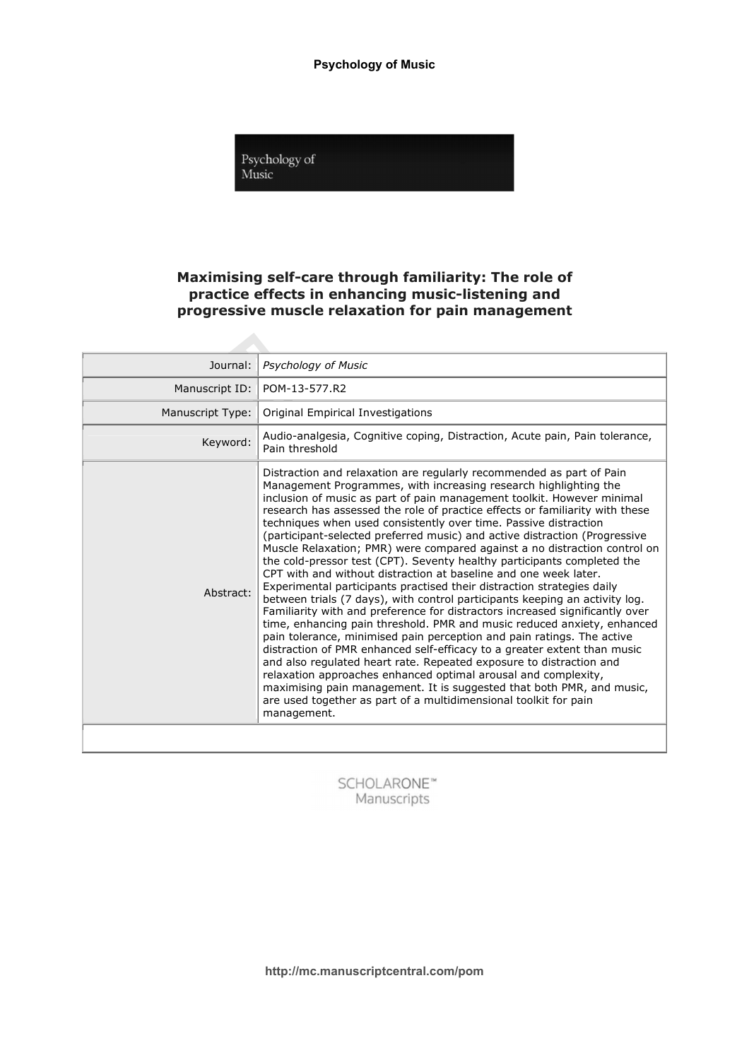

# Maximising self-care through familiarity: The role of practice effects in enhancing music-listening and progressive muscle relaxation for pain management

| Journal:         | <b>Psychology of Music</b>                                                                                                                                                                                                                                                                                                                                                                                                                                                                                                                                                                                                                                                                                                                                                                                                                                                                                                                                                                                                                                                                                                                                                                                                                                                                                                                                                                                                                                      |
|------------------|-----------------------------------------------------------------------------------------------------------------------------------------------------------------------------------------------------------------------------------------------------------------------------------------------------------------------------------------------------------------------------------------------------------------------------------------------------------------------------------------------------------------------------------------------------------------------------------------------------------------------------------------------------------------------------------------------------------------------------------------------------------------------------------------------------------------------------------------------------------------------------------------------------------------------------------------------------------------------------------------------------------------------------------------------------------------------------------------------------------------------------------------------------------------------------------------------------------------------------------------------------------------------------------------------------------------------------------------------------------------------------------------------------------------------------------------------------------------|
| Manuscript ID:   | POM-13-577.R2                                                                                                                                                                                                                                                                                                                                                                                                                                                                                                                                                                                                                                                                                                                                                                                                                                                                                                                                                                                                                                                                                                                                                                                                                                                                                                                                                                                                                                                   |
| Manuscript Type: | Original Empirical Investigations                                                                                                                                                                                                                                                                                                                                                                                                                                                                                                                                                                                                                                                                                                                                                                                                                                                                                                                                                                                                                                                                                                                                                                                                                                                                                                                                                                                                                               |
| Keyword:         | Audio-analgesia, Cognitive coping, Distraction, Acute pain, Pain tolerance,<br>Pain threshold                                                                                                                                                                                                                                                                                                                                                                                                                                                                                                                                                                                                                                                                                                                                                                                                                                                                                                                                                                                                                                                                                                                                                                                                                                                                                                                                                                   |
| Abstract:        | Distraction and relaxation are regularly recommended as part of Pain<br>Management Programmes, with increasing research highlighting the<br>inclusion of music as part of pain management toolkit. However minimal<br>research has assessed the role of practice effects or familiarity with these<br>techniques when used consistently over time. Passive distraction<br>(participant-selected preferred music) and active distraction (Progressive<br>Muscle Relaxation; PMR) were compared against a no distraction control on<br>the cold-pressor test (CPT). Seventy healthy participants completed the<br>CPT with and without distraction at baseline and one week later.<br>Experimental participants practised their distraction strategies daily<br>between trials (7 days), with control participants keeping an activity log.<br>Familiarity with and preference for distractors increased significantly over<br>time, enhancing pain threshold. PMR and music reduced anxiety, enhanced<br>pain tolerance, minimised pain perception and pain ratings. The active<br>distraction of PMR enhanced self-efficacy to a greater extent than music<br>and also regulated heart rate. Repeated exposure to distraction and<br>relaxation approaches enhanced optimal arousal and complexity,<br>maximising pain management. It is suggested that both PMR, and music,<br>are used together as part of a multidimensional toolkit for pain<br>management. |
|                  |                                                                                                                                                                                                                                                                                                                                                                                                                                                                                                                                                                                                                                                                                                                                                                                                                                                                                                                                                                                                                                                                                                                                                                                                                                                                                                                                                                                                                                                                 |

SCHOLARONE™ Manuscripts

http://mc.manuscriptcentral.com/pom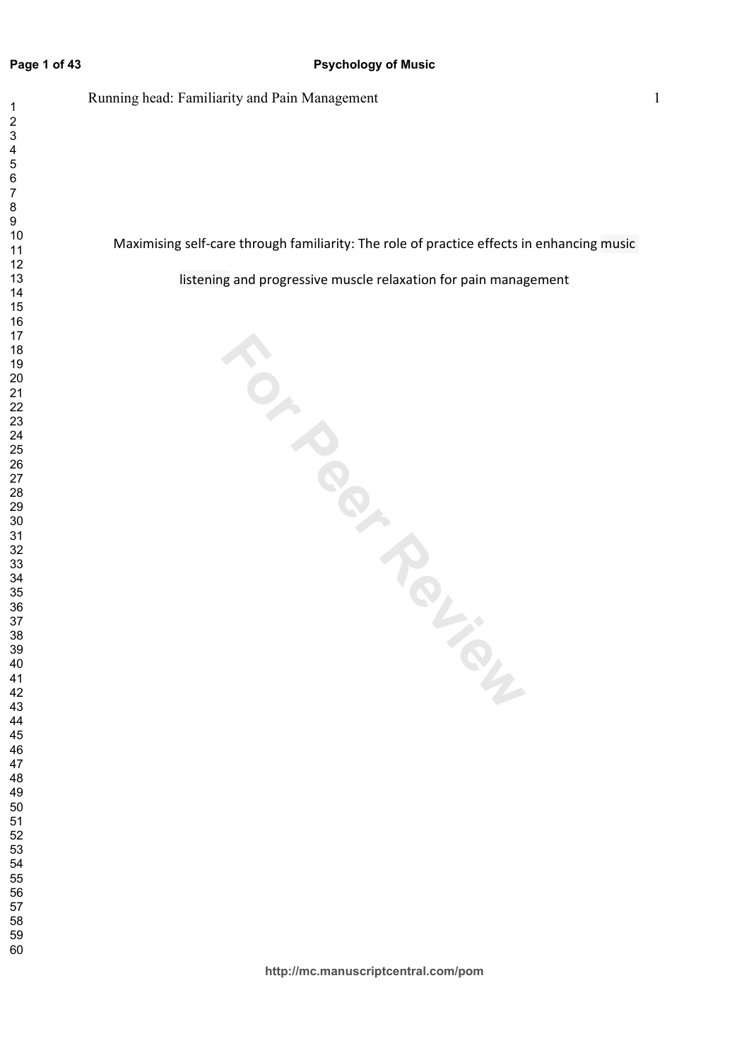### **Page 1 of 43**

 $\overline{1}$ 

Running head: Familiarity and Pain Management 1

Maximising self-care through familiarity: The role of practice effects in enhancing music

listening and progressive muscle relaxation for pain management

**For Perience**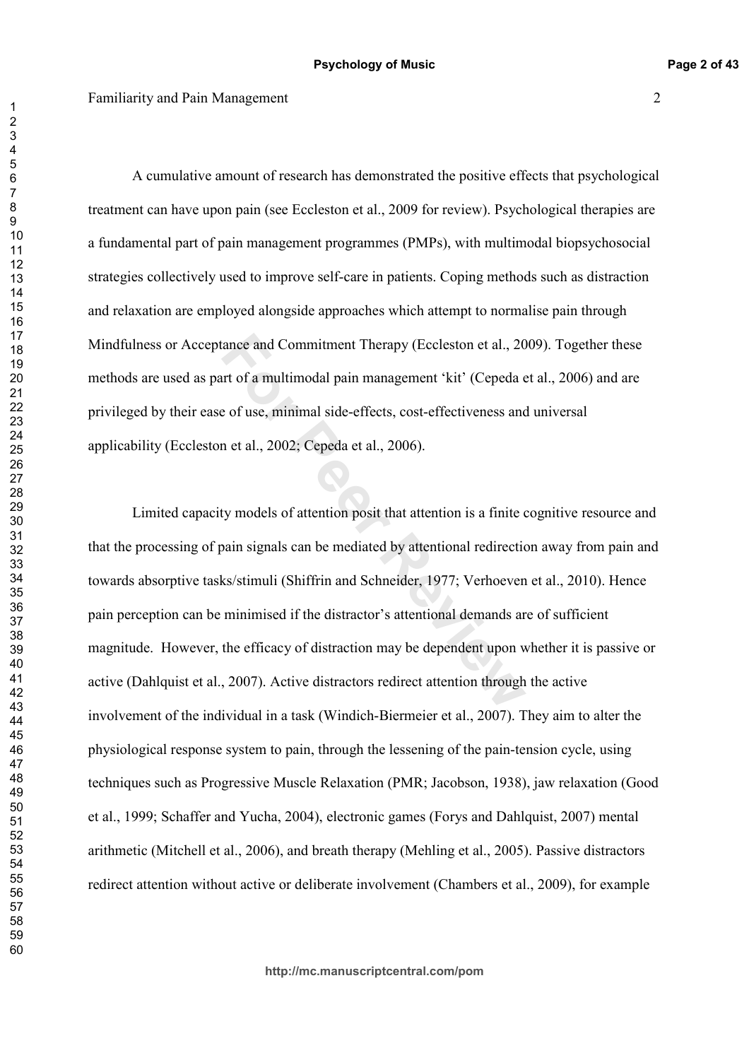A cumulative amount of research has demonstrated the positive effects that psychological treatment can have upon pain (see Eccleston et al., 2009 for review). Psychological therapies are a fundamental part of pain management programmes (PMPs), with multimodal biopsychosocial strategies collectively used to improve self-care in patients. Coping methods such as distraction and relaxation are employed alongside approaches which attempt to normalise pain through Mindfulness or Acceptance and Commitment Therapy (Eccleston et al., 2009). Together these methods are used as part of a multimodal pain management 'kit' (Cepeda et al., 2006) and are privileged by their ease of use, minimal side-effects, cost-effectiveness and universal applicability (Eccleston et al., 2002; Cepeda et al., 2006).

rance and Commitment Therapy (Eccleston et al., 20<br>
art of a multimodal pain management 'kit' (Cepeda e<br>
e of use, minimal side-effects, cost-effectiveness and<br>
n et al., 2002; Cepeda et al., 2006).<br>
<br>
<br> **Ity models of att** Limited capacity models of attention posit that attention is a finite cognitive resource and that the processing of pain signals can be mediated by attentional redirection away from pain and towards absorptive tasks/stimuli (Shiffrin and Schneider, 1977; Verhoeven et al., 2010). Hence pain perception can be minimised if the distractor's attentional demands are of sufficient magnitude. However, the efficacy of distraction may be dependent upon whether it is passive or active (Dahlquist et al., 2007). Active distractors redirect attention through the active involvement of the individual in a task (Windich-Biermeier et al., 2007). They aim to alter the physiological response system to pain, through the lessening of the pain-tension cycle, using techniques such as Progressive Muscle Relaxation (PMR; Jacobson, 1938), jaw relaxation (Good et al., 1999; Schaffer and Yucha, 2004), electronic games (Forys and Dahlquist, 2007) mental arithmetic (Mitchell et al., 2006), and breath therapy (Mehling et al., 2005). Passive distractors redirect attention without active or deliberate involvement (Chambers et al., 2009), for example

 $\overline{1}$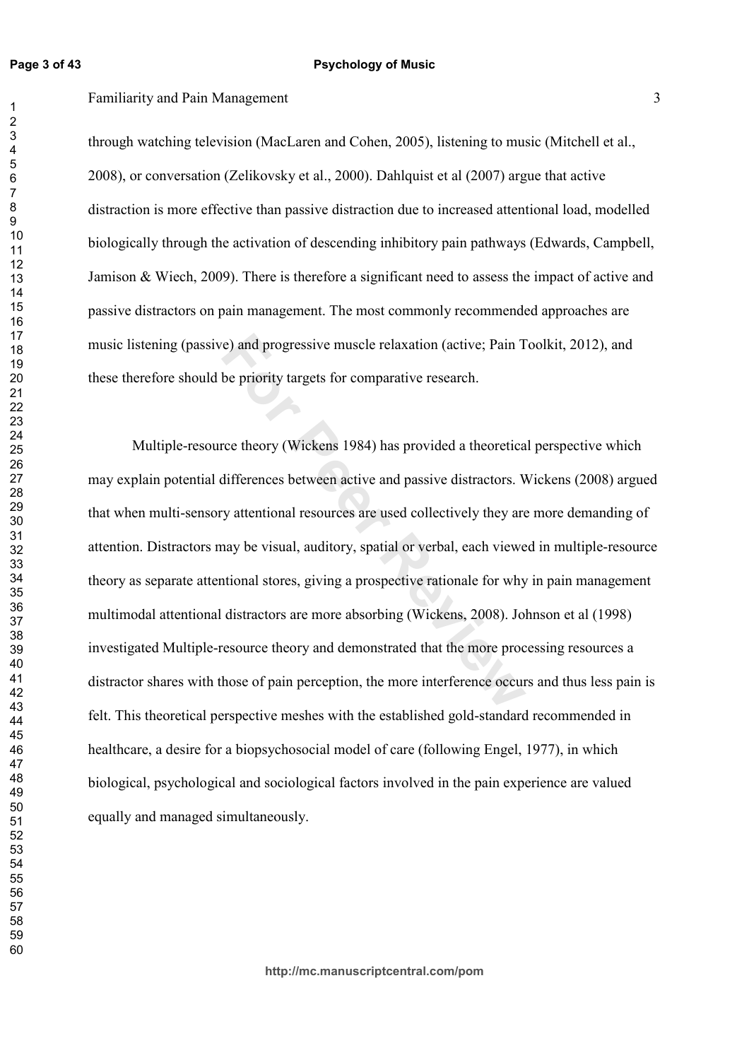### Familiarity and Pain Management 3

through watching television (MacLaren and Cohen, 2005), listening to music (Mitchell et al., 2008), or conversation (Zelikovsky et al., 2000). Dahlquist et al (2007) argue that active distraction is more effective than passive distraction due to increased attentional load, modelled biologically through the activation of descending inhibitory pain pathways (Edwards, Campbell, Jamison & Wiech, 2009). There is therefore a significant need to assess the impact of active and passive distractors on pain management. The most commonly recommended approaches are music listening (passive) and progressive muscle relaxation (active; Pain Toolkit, 2012), and these therefore should be priority targets for comparative research.

For and progressive muscle relaxation (active; Pain T<br>be priority targets for comparative research.<br>The priority targets for comparative research.<br>The priority (Wickens 1984) has provided a theoretical<br>differences between Multiple-resource theory (Wickens 1984) has provided a theoretical perspective which may explain potential differences between active and passive distractors. Wickens (2008) argued that when multi-sensory attentional resources are used collectively they are more demanding of attention. Distractors may be visual, auditory, spatial or verbal, each viewed in multiple-resource theory as separate attentional stores, giving a prospective rationale for why in pain management multimodal attentional distractors are more absorbing (Wickens, 2008). Johnson et al (1998) investigated Multiple-resource theory and demonstrated that the more processing resources a distractor shares with those of pain perception, the more interference occurs and thus less pain is felt. This theoretical perspective meshes with the established gold-standard recommended in healthcare, a desire for a biopsychosocial model of care (following Engel, 1977), in which biological, psychological and sociological factors involved in the pain experience are valued equally and managed simultaneously.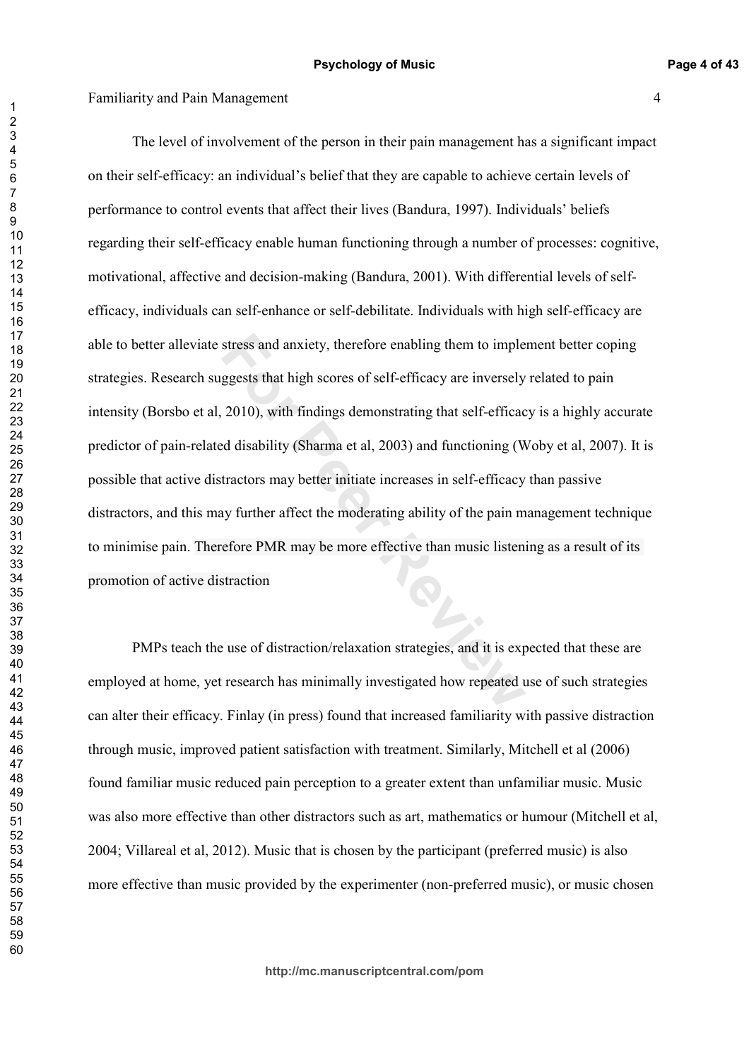stress and anxiety, therefore enabling them to imple<br>ggests that high scores of self-efficacy are inversely<br>2010), with findings demonstrating that self-efficac<br>d disability (Sharma et al, 2003) and functioning (W<br>tractors The level of involvement of the person in their pain management has a significant impact on their self-efficacy: an individual's belief that they are capable to achieve certain levels of performance to control events that affect their lives (Bandura, 1997). Individuals' beliefs regarding their self-efficacy enable human functioning through a number of processes: cognitive, motivational, affective and decision-making (Bandura, 2001). With differential levels of selfefficacy, individuals can self-enhance or self-debilitate. Individuals with high self-efficacy are able to better alleviate stress and anxiety, therefore enabling them to implement better coping strategies. Research suggests that high scores of self-efficacy are inversely related to pain intensity (Borsbo et al, 2010), with findings demonstrating that self-efficacy is a highly accurate predictor of pain-related disability (Sharma et al, 2003) and functioning (Woby et al, 2007). It is possible that active distractors may better initiate increases in self-efficacy than passive distractors, and this may further affect the moderating ability of the pain management technique to minimise pain. Therefore PMR may be more effective than music listening as a result of its promotion of active distraction

PMPs teach the use of distraction/relaxation strategies, and it is expected that these are employed at home, yet research has minimally investigated how repeated use of such strategies can alter their efficacy. Finlay (in press) found that increased familiarity with passive distraction through music, improved patient satisfaction with treatment. Similarly, Mitchell et al (2006) found familiar music reduced pain perception to a greater extent than unfamiliar music. Music was also more effective than other distractors such as art, mathematics or humour (Mitchell et al, 2004; Villareal et al, 2012). Music that is chosen by the participant (preferred music) is also more effective than music provided by the experimenter (non-preferred music), or music chosen

**http://mc.manuscriptcentral.com/pom**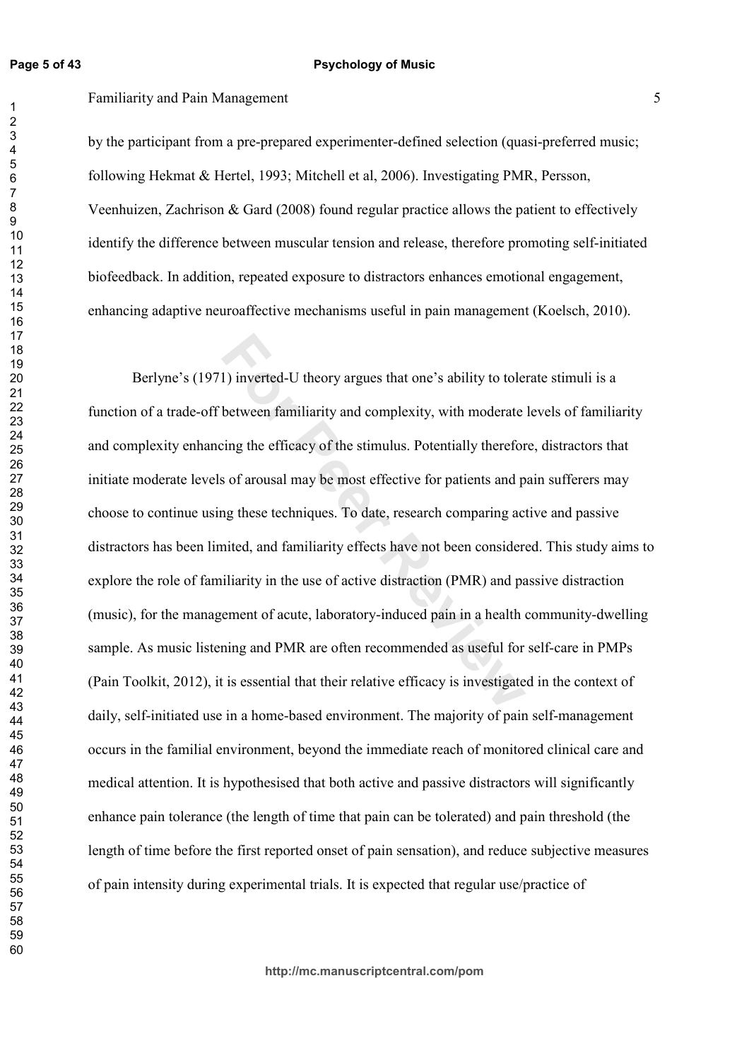## Familiarity and Pain Management 5

by the participant from a pre-prepared experimenter-defined selection (quasi-preferred music; following Hekmat & Hertel, 1993; Mitchell et al. ). Investigating PMR, Persson, Veenhuizen, Zachrison & Gard  $(2008)$  found regular practice allows the patient to effectively identify the difference between muscular tension and release, therefore promoting self-initiated biofeedback. In addition, repeated exposure to distractors enhances emotional engagement, enhancing adaptive neuroaffective mechanisms useful in pain management (Koelsch, 2010).

1) inverted-U theory argues that one's ability to tole<br>between familiarity and complexity, with moderate<br>cing the efficacy of the stimulus. Potentially therefor<br>s of arousal may be most effective for patients and p<br>ng thes Berlyne's (1971) inverted-U theory argues that one's ability to tolerate stimuli is a function of a trade-off between familiarity and complexity, with moderate levels of familiarity and complexity enhancing the efficacy of the stimulus. Potentially therefore, distractors that initiate moderate levels of arousal may be most effective for patients and pain sufferers may choose to continue using these techniques. To date, research comparing active and passive distractors has been limited, and familiarity effects have not been considered. This study aims to explore the role of familiarity in the use of active distraction (PMR) and passive distraction (music), for the management of acute, laboratory-induced pain in a health community-dwelling sample. As music listening and PMR are often recommended as useful for self-care in PMPs (Pain Toolkit, 2012), it is essential that their relative efficacy is investigated in the context of daily, self-initiated use in a home-based environment. The majority of pain self-management occurs in the familial environment, beyond the immediate reach of monitored clinical care and medical attention. It is hypothesised that both active and passive distractors will significantly enhance pain tolerance (the length of time that pain can be tolerated) and pain threshold (the length of time before the first reported onset of pain sensation), and reduce subjective measures of pain intensity during experimental trials. It is expected that regular use/practice of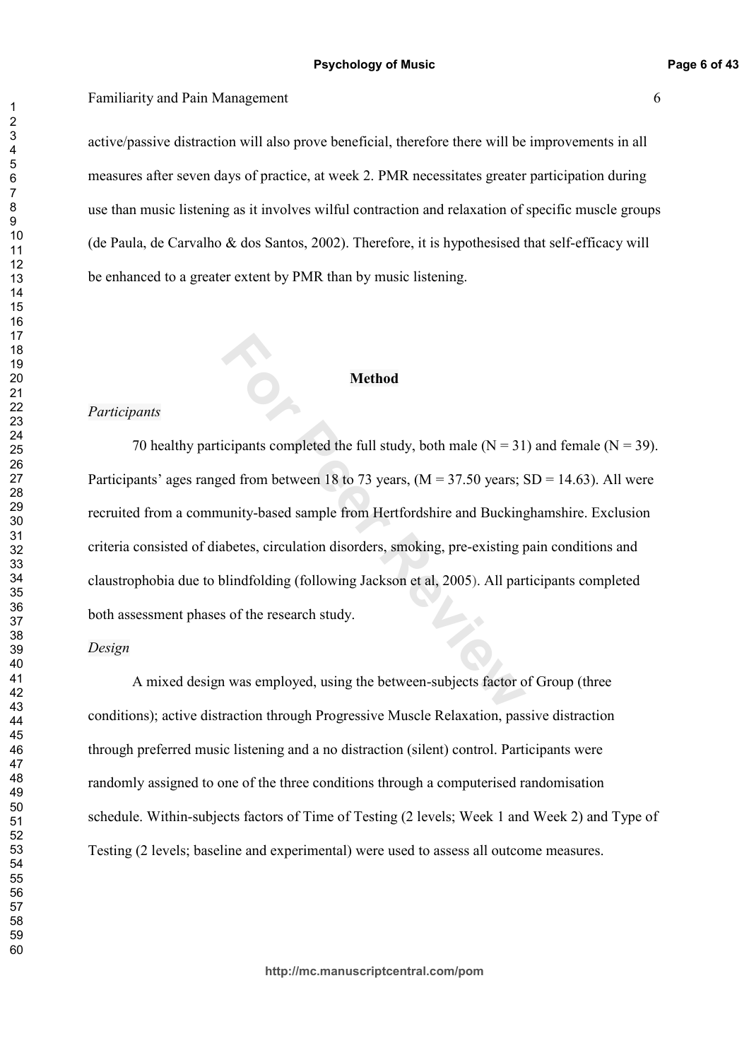active/passive distraction will also prove beneficial, therefore there will be improvements in all measures after seven days of practice, at week 2. PMR necessitates greater participation during use than music listening as it involves wilful contraction and relaxation of specific muscle groups (de Paula, de Carvalho & dos Santos, 2002). Therefore, it is hypothesised that self-efficacy will be enhanced to a greater extent by PMR than by music listening.

# **Method**

### *Participants*

**Formular Solution Method**<br>
For Peerlands completed the full study, both male (N = 31<br>
ed from between 18 to 73 years, (M = 37.50 years; sunity-based sample from Hertfordshire and Bucking<br>
abetes, circulation disorders, s 70 healthy participants completed the full study, both male  $(N = 31)$  and female  $(N = 39)$ . Participants' ages ranged from between 18 to 73 years,  $(M = 37.50 \text{ years}; SD = 14.63)$ . All were recruited from a community-based sample from Hertfordshire and Buckinghamshire. Exclusion criteria consisted of diabetes, circulation disorders, smoking, pre-existing pain conditions and claustrophobia due to blindfolding (following Jackson et al, 2005). All participants completed both assessment phases of the research study.

### *Design*

A mixed design was employed, using the between-subjects factor of Group (three conditions); active distraction through Progressive Muscle Relaxation, passive distraction through preferred music listening and a no distraction (silent) control. Participants were randomly assigned to one of the three conditions through a computerised randomisation schedule. Within-subjects factors of Time of Testing (2 levels; Week 1 and Week 2) and Type of Testing (2 levels; baseline and experimental) were used to assess all outcome measures.

**http://mc.manuscriptcentral.com/pom**

 $\overline{1}$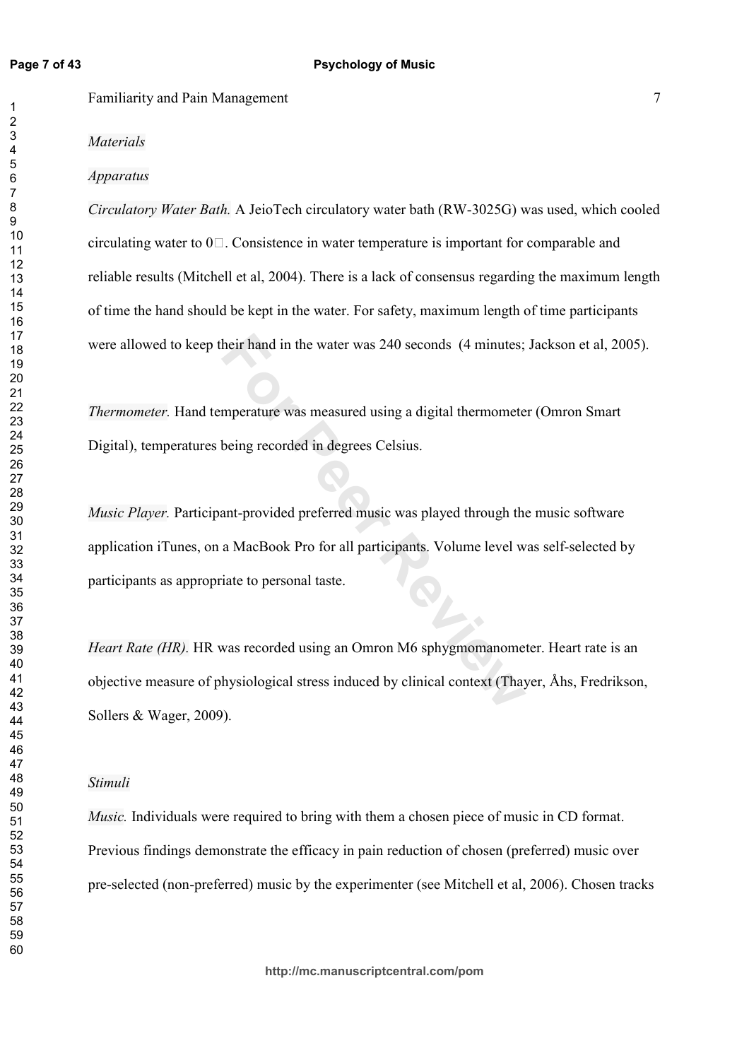$\overline{1}$ 

**Familiarity and Pain Management** 7

## *Materials*

### *Apparatus*

*Circulatory Water Bath.* A JeioTech circulatory water bath (RW-3025G) was used, which cooled circulating water to 01 . Consistence in water temperature is important for comparable and reliable results (Mitchell et al, 2004). There is a lack of consensus regarding the maximum length of time the hand should be kept in the water. For safety, maximum length of time participants were allowed to keep their hand in the water was 240 seconds (4 minutes; Jackson et al, 2005).

*Thermometer*. Hand temperature was measured using a digital thermometer (Omron Smart Digital), temperatures being recorded in degrees Celsius.

heir hand in the water was 240 seconds (4 minutes;<br>
mperature was measured using a digital thermomete<br>
being recorded in degrees Celsius.<br>
ant-provided preferred music was played through the<br>
a MacBook Pro for all particip *Music Player.* Participant-provided preferred music was played through the music software application iTunes, on a MacBook Pro for all participants. Volume level was self-selected by participants as appropriate to personal taste.

*Heart Rate (HR).* HR was recorded using an Omron M6 sphygmomanometer. Heart rate is an objective measure of physiological stress induced by clinical context (Thayer, Åhs, Fredrikson, Sollers & Wager, 2009).

### *Stimuli*

*Music*. Individuals were required to bring with them a chosen piece of music in CD format. Previous findings demonstrate the efficacy in pain reduction of chosen (preferred) music over pre-selected (non-preferred) music by the experimenter (see Mitchell et al, 2006). Chosen tracks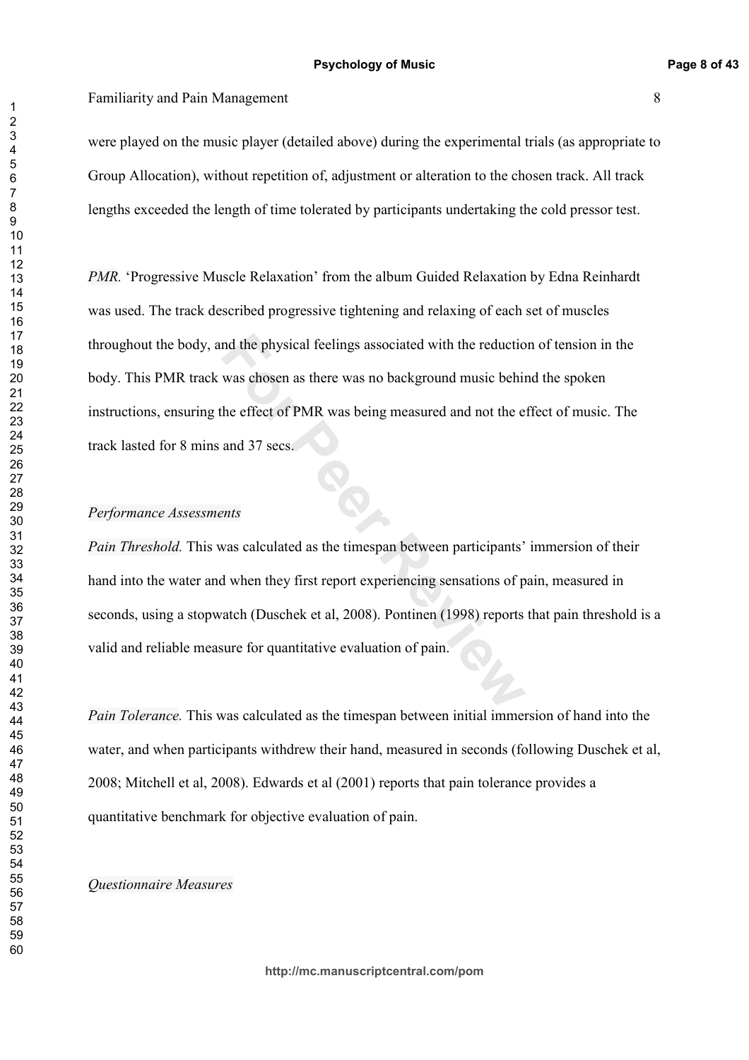were played on the music player (detailed above) during the experimental trials (as appropriate to Group Allocation), without repetition of, adjustment or alteration to the chosen track. All track lengths exceeded the length of time tolerated by participants undertaking the cold pressor test.

mot the physical feelings associated with the reduction<br>was chosen as there was no background music behinches the effect of PMR was being measured and not the e<br>and 37 secs.<br>*For PMR* was being measured and not the e<br>and 3 PMR. 'Progressive Muscle Relaxation' from the album Guided Relaxation by Edna Reinhardt was used. The track described progressive tightening and relaxing of each set of muscles throughout the body, and the physical feelings associated with the reduction of tension in the body. This PMR track was chosen as there was no background music behind the spoken instructions, ensuring the effect of PMR was being measured and not the effect of music. The track lasted for 8 mins and 37 secs.

### Performance Assessments

*Pain Threshold.* This was calculated as the timespan between participants' immersion of their hand into the water and when they first report experiencing sensations of pain, measured in seconds, using a stopwatch (Duschek et al, 2008). Pontinen (1998) reports that pain threshold is a valid and reliable measure for quantitative evaluation of pain.

*Pain Tolerance*. This was calculated as the timespan between initial immersion of hand into the water, and when participants withdrew their hand, measured in seconds (following Duschek et al, 2008; Mitchell et al, 2008). Edwards et al (2001) reports that pain tolerance provides a quantitative benchmark for objective evaluation of pain.

### *Questionnaire Measures*

 $\overline{1}$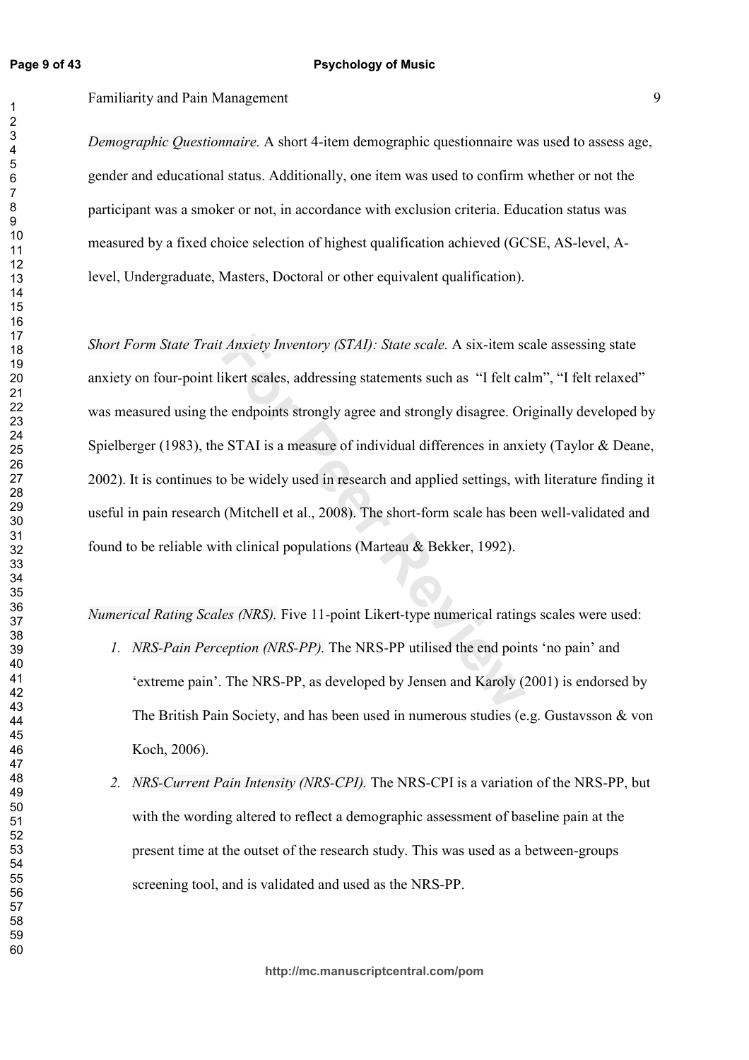Familiarity and Pain Management 9

*Demographic Questionnaire*. A short 4-item demographic questionnaire was used to assess age, gender and educational status. Additionally, one item was used to confirm whether or not the participant was a smoker or not, in accordance with exclusion criteria. Education status was measured by a fixed choice selection of highest qualification achieved (GCSE, AS-level, Alevel, Undergraduate, Masters, Doctoral or other equivalent qualification).

*Exert Sumeratory (STAI): State scale.* A six-item sole *A* six-item six-item six-item six-item sixed is transformed in the endpoints strongly agree and strongly disagree. Or e STAI is a measure of individual differences i Short Form State Trait Anxiety Inventory (STAI): State scale. A six-item scale assessing state anxiety on four-point likert scales, addressing statements such as "I felt calm", "I felt relaxed" was measured using the endpoints strongly agree and strongly disagree. Originally developed by Spielberger (1983), the STAI is a measure of individual differences in anxiety (Taylor & Deane, 2002). It is continues to be widely used in research and applied settings, with literature finding it useful in pain research (Mitchell et al., 2008). The short-form scale has been well-validated and found to be reliable with clinical populations (Marteau & Bekker, 1992).

*Numerical Rating Scales (NRS).* Five 11-point Likert-type numerical ratings scales were used:

- *I. NRS-Pain Perception (NRS-PP).* The NRS-PP utilised the end points 'no pain' and 'extreme pain'. The NRS-PP, as developed by Jensen and Karoly (2001) is endorsed by The British Pain Society, and has been used in numerous studies (e.g. Gustavsson  $\&$  von Koch, 2006).
- 2. *NRS-Current Pain Intensity (NRS-CPI)*. The NRS-CPI is a variation of the NRS-PP, but with the wording altered to reflect a demographic assessment of baseline pain at the present time at the outset of the research study. This was used as a between-groups screening tool, and is validated and used as the NRS-PP.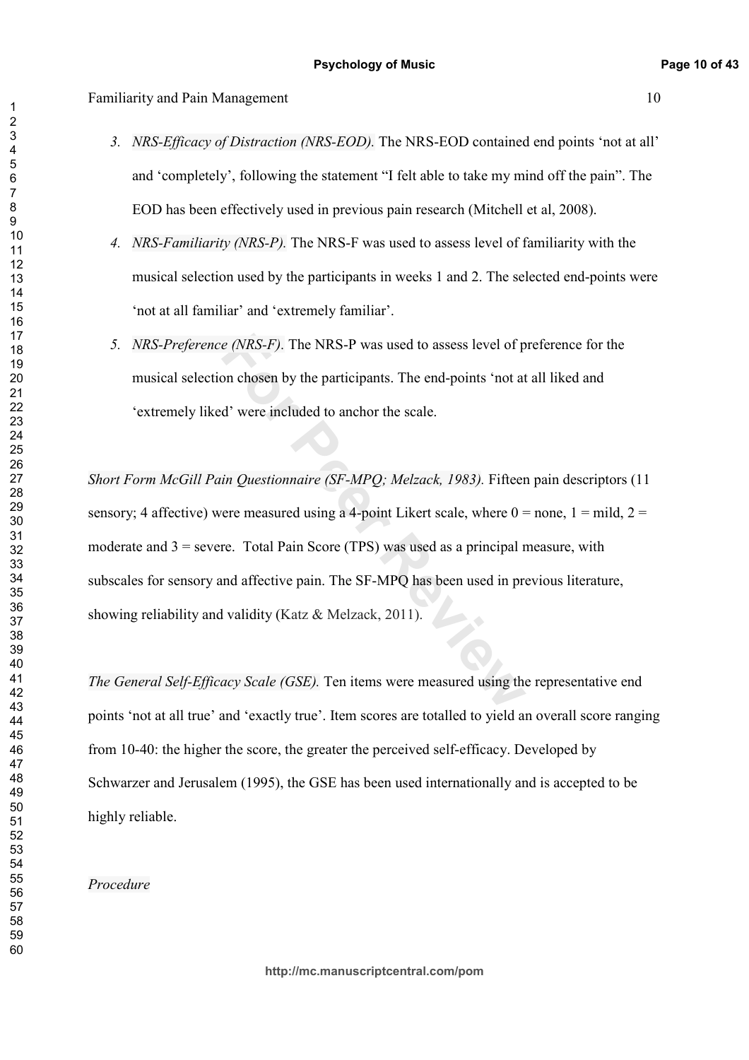- 3. *NRS-Efficacy of Distraction (NRS-EOD)*. The NRS-EOD contained end points 'not at all' and 'completely', following the statement "I felt able to take my mind off the pain". The EOD has been effectively used in previous pain research (Mitchell et al, 2008).
- 4. *NRS-Familiarity (NRS-P)*. The NRS-F was used to assess level of familiarity with the musical selection used by the participants in weeks 1 and 2. The selected end-points were 'not at all familiar' and 'extremely familiar'.
- 5. *NRS-Preference (NRS-F)*. The NRS-P was used to assess level of preference for the musical selection chosen by the participants. The end-points 'not at all liked and 'extremely liked' were included to anchor the scale.

*e (NRS-F)*. The NRS-P was used to assess level of p<br>on chosen by the participants. The end-points 'not at<br>d' were included to anchor the scale.<br>*in Questionnaire (SF-MPQ; Melzack, 1983)*. Fifteer<br>ere measured using a 4-po *Short Form McGill Pain Questionnaire (SF-MPQ; Melzack, 1983). Fifteen pain descriptors (11* sensory; 4 affective) were measured using a 4-point Likert scale, where  $0 =$  none,  $1 =$  mild,  $2 =$ moderate and = severe. Total Pain Score (TPS) was used as a principal measure, with subscales for sensory and affective pain. The SF-MPQ has been used in previous literature, showing reliability and validity (Katz  $\&$  Melzack, 2011).

*The General Self-Efficacy Scale (GSE)*. Ten items were measured using the representative end points 'not at all true' and 'exactly true'. Item scores are totalled to yield an overall score ranging from 10-40: the higher the score, the greater the perceived self-efficacy. Developed by Schwarzer and Jerusalem (1995), the GSE has been used internationally and is accepted to be highly reliable.

# Procedure

 $\overline{1}$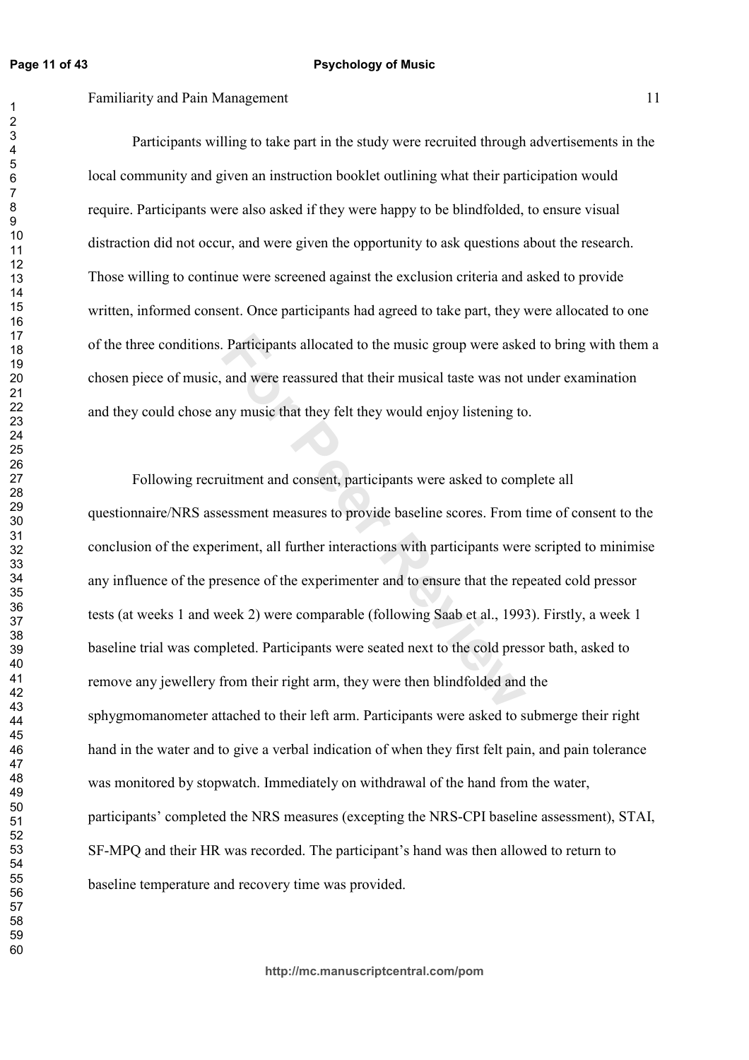Familiarity and Pain Management 11

Participants willing to take part in the study were recruited through advertisements in the local community and given an instruction booklet outlining what their participation would require. Participants were also asked if they were happy to be blindfolded, to ensure visual distraction did not occur, and were given the opportunity to ask questions about the research. Those willing to continue were screened against the exclusion criteria and asked to provide written, informed consent. Once participants had agreed to take part, they were allocated to one of the three conditions. Participants allocated to the music group were asked to bring with them a chosen piece of music, and were reassured that their musical taste was not under examination and they could chose any music that they felt they would enjoy listening to.

Participants allocated to the music group were asket and were reassured that their musical taste was not ny music that they felt they would enjoy listening to use that they felt they would enjoy listening to use use that t Following recruitment and consent, participants were asked to complete all questionnaire/NRS assessment measures to provide baseline scores. From time of consent to the conclusion of the experiment, all further interactions with participants were scripted to minimise any influence of the presence of the experimenter and to ensure that the repeated cold pressor tests (at weeks 1 and week 2) were comparable (following Saab et al., 1993). Firstly, a week 1 baseline trial was completed. Participants were seated next to the cold pressor bath, asked to remove any jewellery from their right arm, they were then blindfolded and the sphygmomanometer attached to their left arm. Participants were asked to submerge their right hand in the water and to give a verbal indication of when they first felt pain, and pain tolerance was monitored by stopwatch. Immediately on withdrawal of the hand from the water, participants' completed the NRS measures (excepting the NRS-CPI baseline assessment), STAI, SF-MPQ and their HR was recorded. The participant's hand was then allowed to return to baseline temperature and recovery time was provided.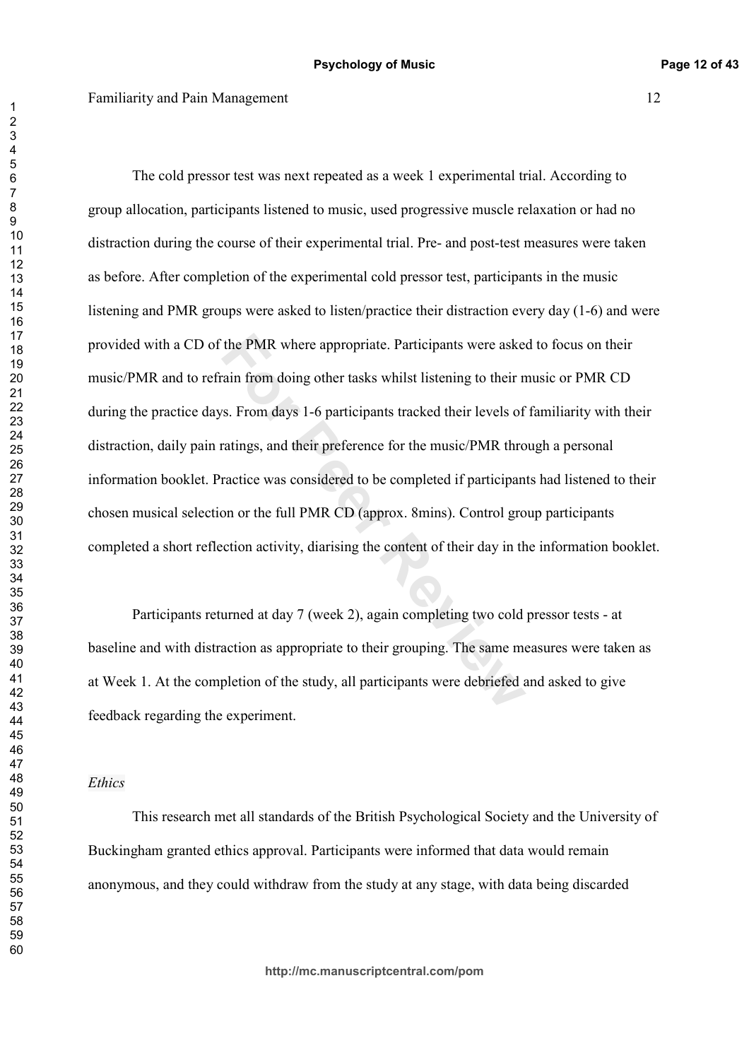the PMR where appropriate. Participants were asketed their from doing other tasks whilst listening to their ns.<br>Form days 1-6 participants tracked their levels of ratings, and their preference for the music/PMR thromaticle The cold pressor test was next repeated as a week 1 experimental trial. According to group allocation, participants listened to music, used progressive muscle relaxation or had no distraction during the course of their experimental trial. Pre- and post-test measures were taken as before. After completion of the experimental cold pressor test, participants in the music listening and PMR groups were asked to listen/practice their distraction every day  $(1-6)$  and were provided with a CD of the PMR where appropriate. Participants were asked to focus on their music/PMR and to refrain from doing other tasks whilst listening to their music or PMR CD during the practice days. From days 1-6 participants tracked their levels of familiarity with their distraction, daily pain ratings, and their preference for the music/PMR through a personal information booklet. Practice was considered to be completed if participants had listened to their chosen musical selection or the full PMR CD (approx. 8mins). Control group participants completed a short reflection activity, diarising the content of their day in the information booklet.

Participants returned at day 7 (week 2), again completing two cold pressor tests - at baseline and with distraction as appropriate to their grouping. The same measures were taken as at Week 1. At the completion of the study, all participants were debriefed and asked to give feedback regarding the experiment.

### *Ethics*

This research met all standards of the British Psychological Society and the University of Buckingham granted ethics approval. Participants were informed that data would remain anonymous, and they could withdraw from the study at any stage, with data being discarded

 $\overline{1}$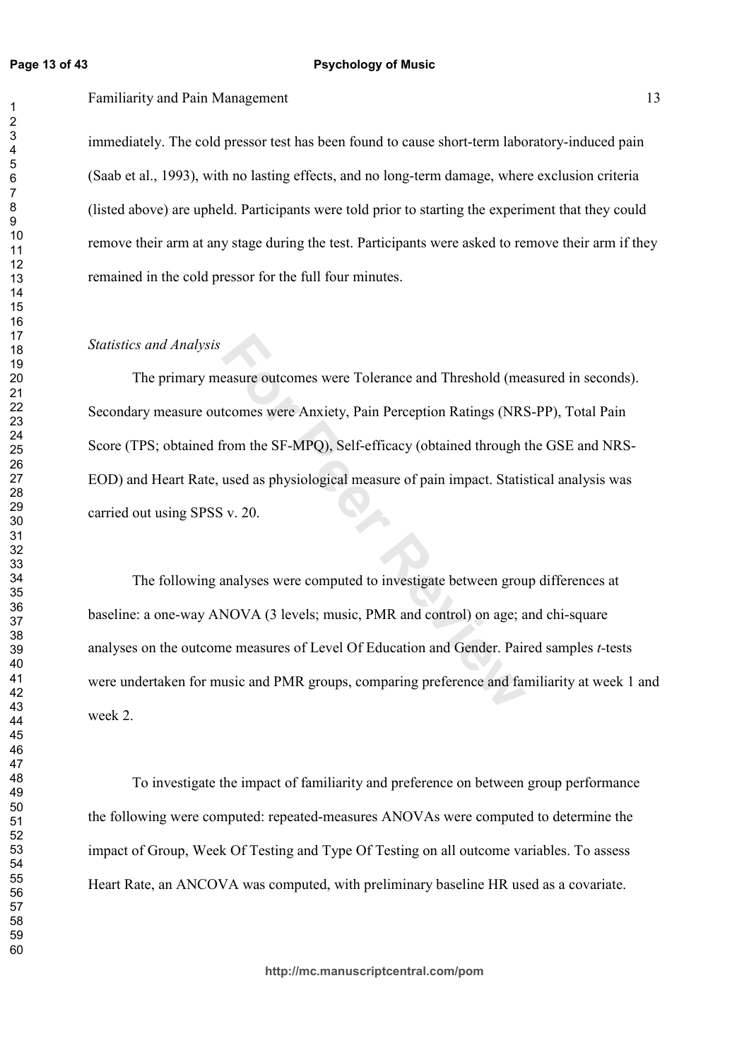$\overline{1}$ 

### **Psychology of Music**

Familiarity and Pain Management 13

immediately. The cold pressor test has been found to cause short-term laboratory-induced pain (Saab et al., 1993), with no lasting effects, and no long-term damage, where exclusion criteria (listed above) are upheld. Participants were told prior to starting the experiment that they could remove their arm at any stage during the test. Participants were asked to remove their arm if they remained in the cold pressor for the full four minutes.

### *Statistics and Analysis*

easure outcomes were Tolerance and Threshold (me<br>tcomes were Anxiety, Pain Perception Ratings (NRS<br>from the SF-MPQ), Self-efficacy (obtained through t<br>used as physiological measure of pain impact. Statis<br>iv. 20.<br>analyses w The primary measure outcomes were Tolerance and Threshold (measured in seconds). Secondary measure outcomes were Anxiety, Pain Perception Ratings (NRS-PP), Total Pain Score (TPS; obtained from the SF-MPQ), Self-efficacy (obtained through the GSE and NRS-EOD) and Heart Rate, used as physiological measure of pain impact. Statistical analysis was carried out using SPSS v. 20.

The following analyses were computed to investigate between group differences at baseline: a one-way ANOVA (3 levels; music, PMR and control) on age; and chi-square analyses on the outcome measures of Level Of Education and Gender. Paired samples *t*-tests were undertaken for music and PMR groups, comparing preference and familiarity at week 1 and week 2.

To investigate the impact of familiarity and preference on between group performance the following were computed: repeated-measures ANOVAs were computed to determine the impact of Group, Week Of Testing and Type Of Testing on all outcome variables. To assess Heart Rate, an ANCOVA was computed, with preliminary baseline HR used as a covariate.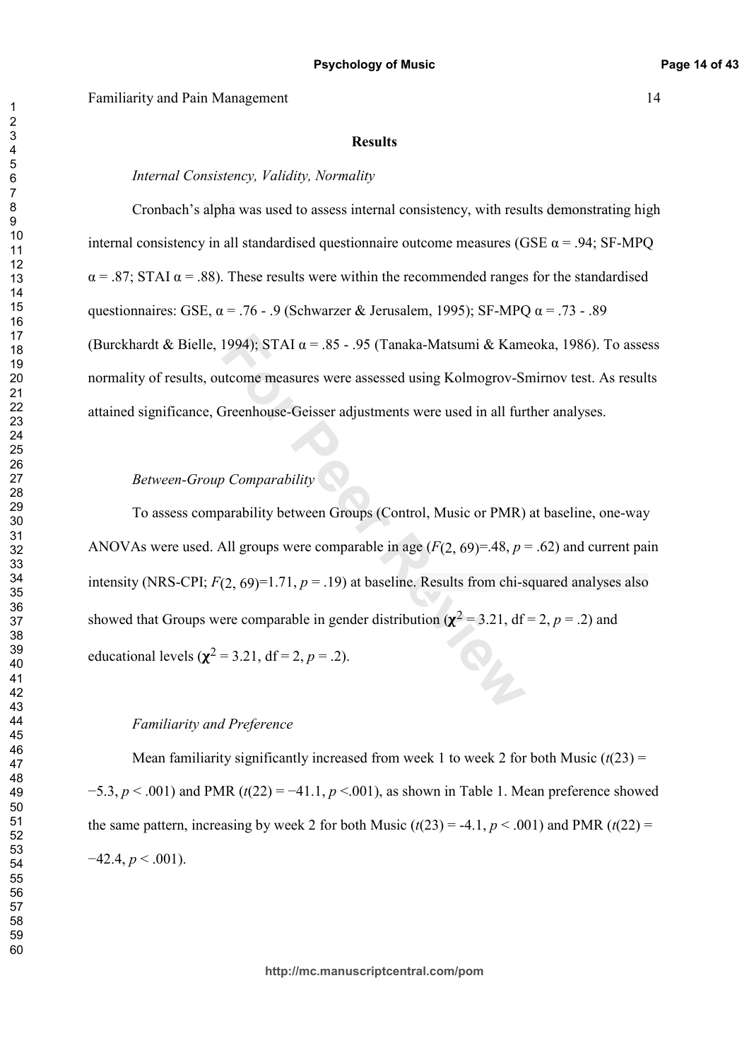#### **Results**

## Internal Consistency, Validity, Normality

Cronbach's alpha was used to assess internal consistency, with results demonstrating high internal consistency in all standardised questionnaire outcome measures (GSE  $\alpha$  = .94; SF-MPO  $\alpha$  = .87; STAI  $\alpha$  = .88). These results were within the recommended ranges for the standardised questionnaires: GSE,  $\alpha$  = .76 - .9 (Schwarzer & Jerusalem, 1995); SF-MPQ  $\alpha$  = .73 - .89 (Burckhardt & Bielle, 1994); STAI  $\alpha$  = .85 - .95 (Tanaka-Matsumi & Kameoka, 1986). To assess normality of results, outcome measures were assessed using Kolmogrov-Smirnov test. As results attained significance, Greenhouse-Geisser adjustments were used in all further analyses.

# Between-Group Comparability

To assess comparability between Groups (Control, Music or PMR) at baseline, one-way ANOVAs were used. All groups were comparable in age  $(F(2, 69)=.48, p=.62)$  and current pain intensity (NRS-CPI;  $F(2, 69)=1.71$ ,  $p=.19$ ) at baseline. Results from chi-squared analyses also showed that Groups were comparable in gender distribution ( $\chi^2$  = 3.21, df = 2, p = .2) and educational levels ( $\chi^2$  = 3.21, df = 2, p = .2).

### **Familiarity and Preference**

Mean familiarity significantly increased from week 1 to week 2 for both Music  $(t(23)$  =  $-5.3$ ,  $p < .001$ ) and PMR (t(22) = -41.1,  $p < .001$ ), as shown in Table 1. Mean preference showed the same pattern, increasing by week 2 for both Music  $(t(23) = -4.1, p < .001)$  and PMR  $(t(22) =$  $-42.4, p < .001$ ).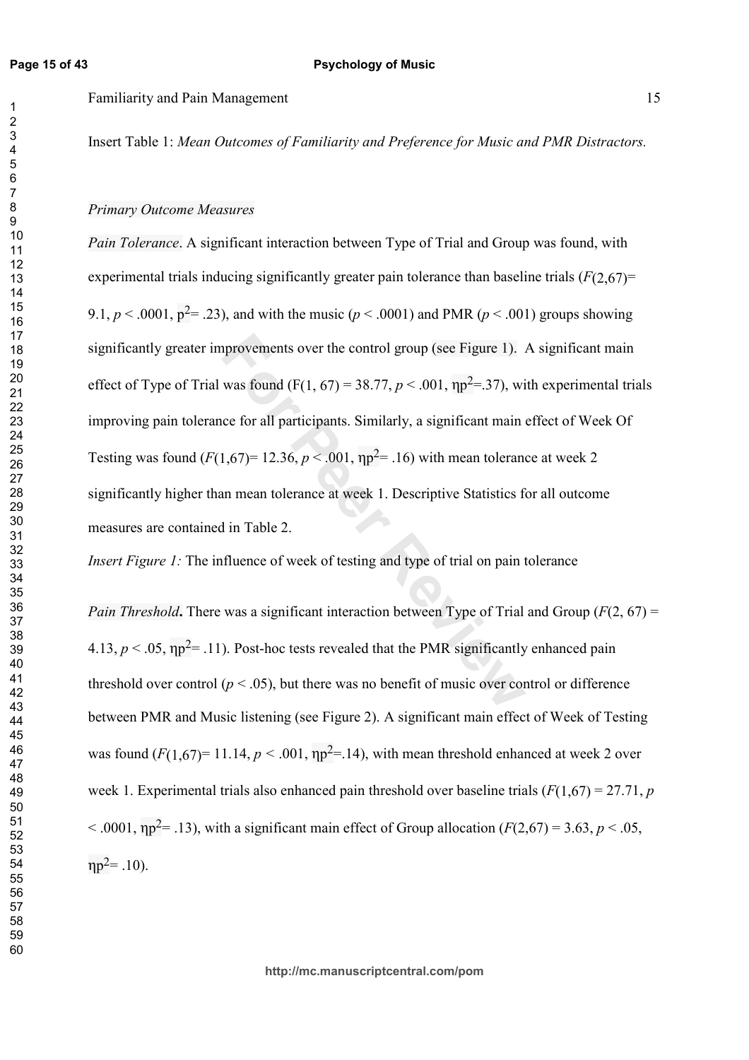Insert Table 1: Mean Outcomes of Familiarity and Preference for Music and PMR Distractors.

### Primary Outcome Measures

provements over the control group (see Figure 1).<br>
was found (F(1, 67) = 38.77,  $p < .001$ ,  $np^2 = .37$ ), wi<br>
ice for all participants. Similarly, a significant main (<br>
1,67)= 12.36,  $p < .001$ ,  $np^2 = .16$ ) with mean tolerand<br>
a *Pain Tolerance.* A significant interaction between Type of Trial and Group was found, with experimental trials inducing significantly greater pain tolerance than baseline trials  $(F(2,67)$ <sup>=</sup> 9.1,  $p < .0001$ ,  $p^2 = .23$ ), and with the music ( $p < .0001$ ) and PMR ( $p < .001$ ) groups showing significantly greater improvements over the control group (see Figure 1). A significant main effect of Type of Trial was found (F(1, 67) = 38.77,  $p < .001$ ,  $\eta p^2 = .37$ ), with experimental trials improving pain tolerance for all participants. Similarly, a significant main effect of Week Of Testing was found  $(F(1,67) = 12.36, p < .001, \eta p^2 = .16)$  with mean tolerance at week 2 significantly higher than mean tolerance at week 1. Descriptive Statistics for all outcome measures are contained in Table 2.

*Insert Figure 1:* The influence of week of testing and type of trial on pain tolerance

*Pain Threshold*. There was a significant interaction between Type of Trial and Group ( $F(2, 67) =$ 4.13,  $p < .05$ ,  $np^2 = .11$ ). Post-hoc tests revealed that the PMR significantly enhanced pain threshold over control ( $p < .05$ ), but there was no benefit of music over control or difference between PMR and Music listening (see Figure 2). A significant main effect of Week of Testing was found  $(F(1,67) = 11.14, p < .001, np^2 = .14)$ , with mean threshold enhanced at week 2 over week 1. Experimental trials also enhanced pain threshold over baseline trials  $(F(1,67) = 27.71, p$ < .0001,  $np^2$ = .13), with a significant main effect of Group allocation ( $F(2,67)$  = 3.63,  $p < .05$ ,  $np^2 = .10$ ).

**http://mc.manuscriptcentral.com/pom**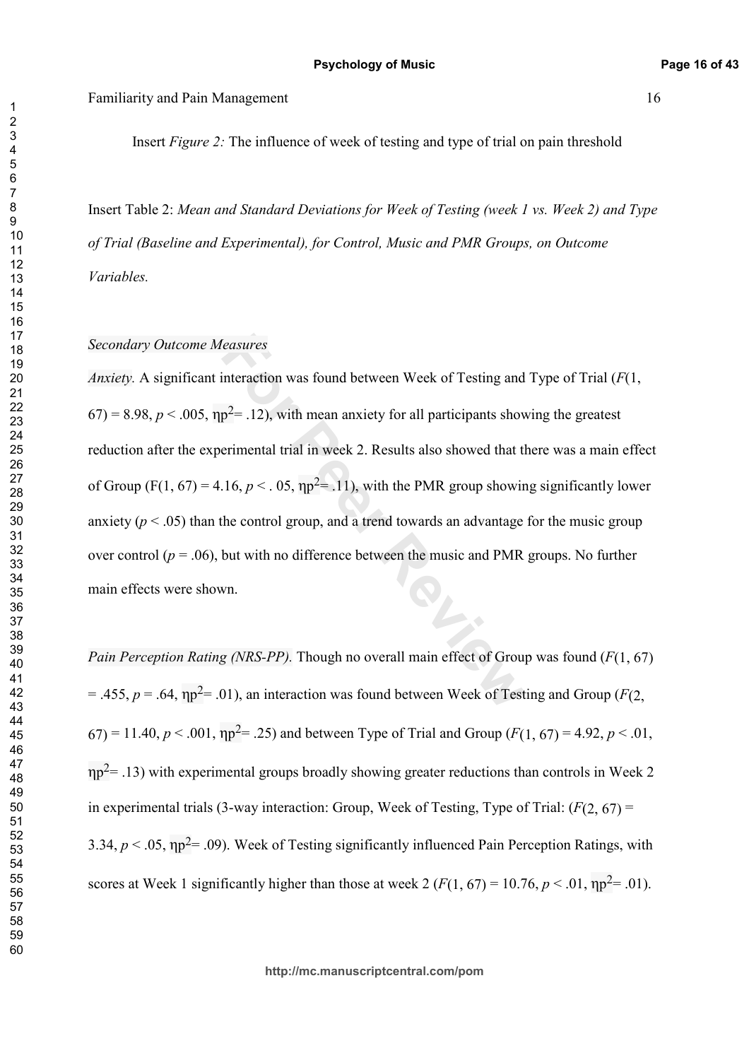Insert Figure 2: The influence of week of testing and type of trial on pain threshold

Insert Table 2: Mean and Standard Deviations for Week of Testing (week 1 vs. Week 2) and Type of Trial (Baseline and Experimental), for Control, Music and PMR Groups, on Outcome  $Variables.$ 

### Secondary Outcome Measures

Feasures<br>
interaction was found between Week of Testing and<br>  $p^2$ = .12), with mean anxiety for all participants shov<br>
erimental trial in week 2. Results also showed that the<br>
.16,  $p < .$  05,  $np^2$ = .11), with the PMR grou *Anxiety*. A significant interaction was found between Week of Testing and Type of Trial ( $F(1, 1)$ )  $-67$ ) = 8.98,  $p < .005$ ,  $\eta p^2 = .12$ ), with mean anxiety for all participants showing the greatest reduction after the experimental trial in week 2. Results also showed that there was a main effect of Group (F(1, 67) = 4.16,  $p < .05$ ,  $np^2 = .11$ ), with the PMR group showing significantly lower anxiety ( $p < .05$ ) than the control group, and a trend towards an advantage for the music group over control ( $p = .06$ ), but with no difference between the music and PMR groups. No further main effects were shown.

*Pain Perception Rating (NRS-PP).* Though no overall main effect of Group was found ( $F(1, 67)$ )  $=$  .455,  $p = .64$ ,  $np^2 = .01$ ), an interaction was found between Week of Testing and Group ( $F(2,$  $(67) = 11.40, p < .001, \eta p^2 = .25$  and between Type of Trial and Group  $(F(1, 67) = 4.92, p < .01,$  $np^2$  = .13) with experimental groups broadly showing greater reductions than controls in Week 2 in experimental trials (3-way interaction: Group, Week of Testing, Type of Trial:  $(F(2, 67) =$ 3.34,  $p < .05$ ,  $np^2 = .09$ ). Week of Testing significantly influenced Pain Perception Ratings, with scores at Week 1 significantly higher than those at week 2 ( $F(1, 67) = 10.76$ ,  $p < .01$ ,  $np^2 = .01$ ).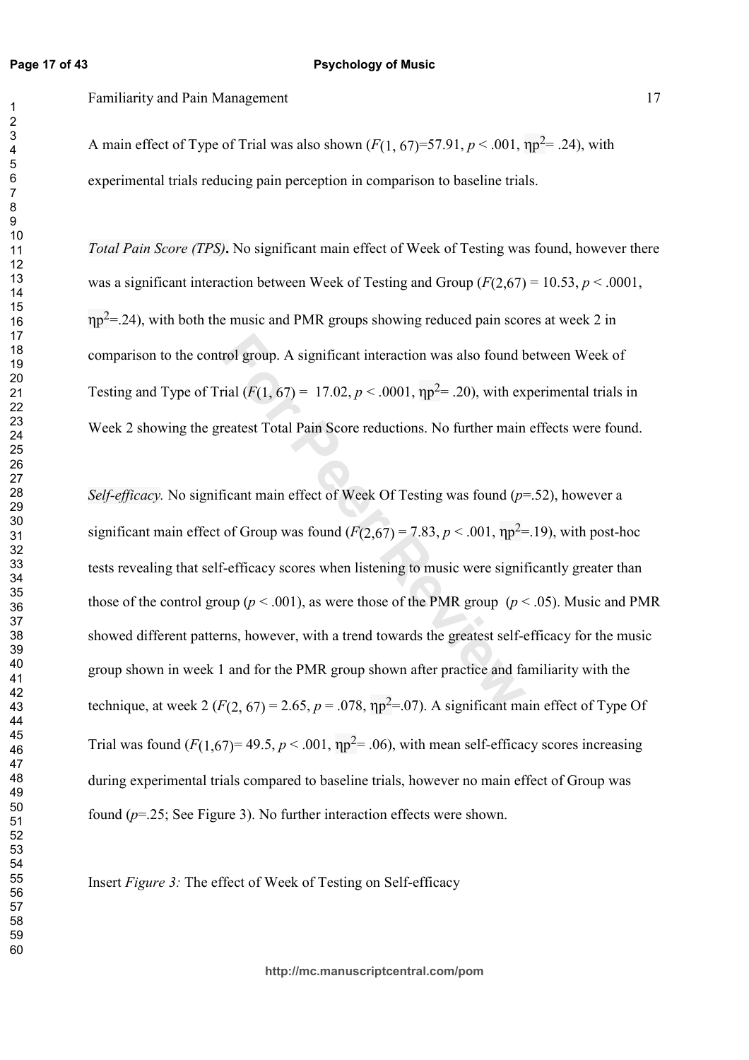Familiarity and Pain Management 17

A main effect of Type of Trial was also shown  $(F(1, 67)=57.91, p < .001, np^2 = .24)$ , with experimental trials reducing pain perception in comparison to baseline trials.

Total Pain Score (TPS). No significant main effect of Week of Testing was found, however there was a significant interaction between Week of Testing and Group  $(F(2,67) = 10.53, p < .0001,$  $np^2$ =.24), with both the music and PMR groups showing reduced pain scores at week 2 in comparison to the control group. A significant interaction was also found between Week of Testing and Type of Trial  $(F(1, 67) = 17.02, p < .0001, \eta p^2 = .20)$ , with experimental trials in Week 2 showing the greatest Total Pain Score reductions. No further main effects were found.

For Proup. A significant interaction was also found brial ( $F(1, 67) = 17.02$ ,  $p < .0001$ ,  $np^2 = .20$ ), with exercatest Total Pain Score reductions. No further main reflect of Week Of Testing was found ( $p$ -<br>of Group was fou Self-efficacy. No significant main effect of Week Of Testing was found  $(p=0.52)$ , however a significant main effect of Group was found  $(F(2,67) = 7.83, p < .001, \eta p^2 = .19)$ , with post-hoc tests revealing that self-efficacy scores when listening to music were significantly greater than those of the control group ( $p < .001$ ), as were those of the PMR group ( $p < .05$ ). Music and PMR showed different patterns, however, with a trend towards the greatest self-efficacy for the music group shown in week 1 and for the PMR group shown after practice and familiarity with the technique, at week 2 ( $F(2, 67) = 2.65$ ,  $p = .078$ ,  $np^2 = .07$ ). A significant main effect of Type Of Trial was found  $(F(1,67) = 49.5, p < .001, \eta p^2 = .06)$ , with mean self-efficacy scores increasing during experimental trials compared to baseline trials, however no main effect of Group was found ( $p = 25$ ; See Figure 3). No further interaction effects were shown.

Insert Figure 3: The effect of Week of Testing on Self-efficacy

**http://mc.manuscriptcentral.com/pom**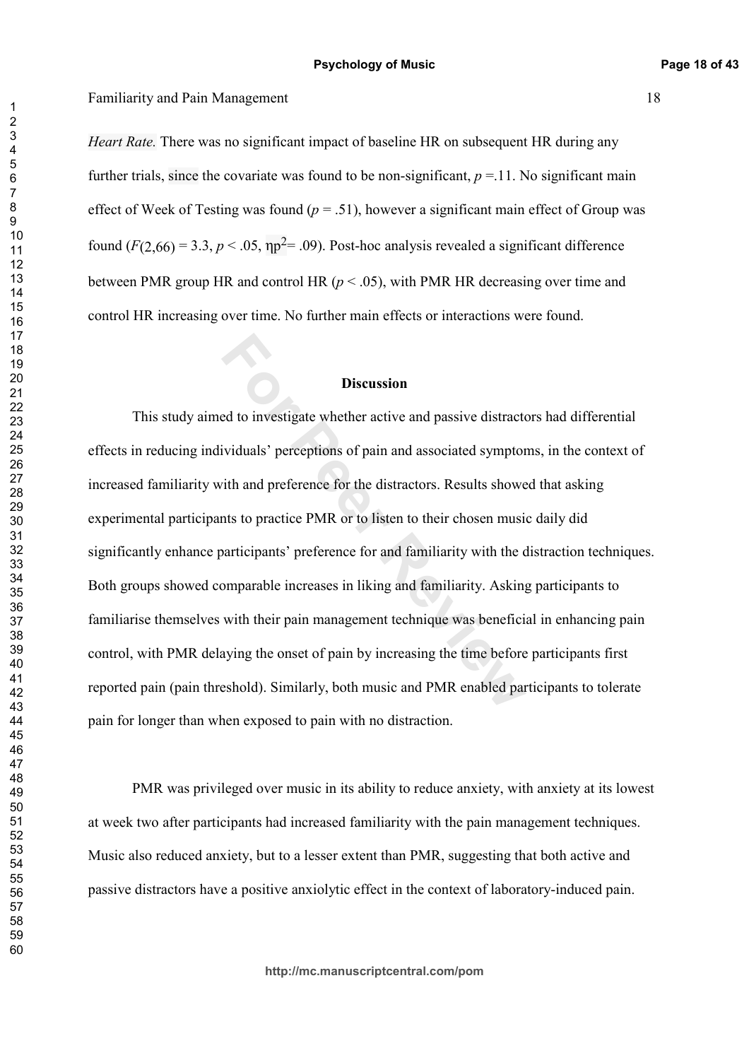*Heart Rate.* There was no significant impact of baseline HR on subsequent HR during any further trials, since the covariate was found to be non-significant,  $p = 11$ . No significant main effect of Week of Testing was found  $(p = .51)$ , however a significant main effect of Group was found  $(F(2,66) = 3.3, p < .05, \eta p^2 = .09)$ . Post-hoc analysis revealed a significant difference between PMR group HR and control HR  $(p < .05)$ , with PMR HR decreasing over time and control HR increasing over time. No further main effects or interactions were found.

## **Discussion**

**Example 16 B Discussion**<br>**Formulary Exerceptions of pain and associated symptor**<br>ith and preference for the distractors. Results showe<br>that to practice PMR or to listen to their chosen musi-<br>participants' preference for a This study aimed to investigate whether active and passive distractors had differential effects in reducing individuals' perceptions of pain and associated symptoms, in the context of increased familiarity with and preference for the distractors. Results showed that asking experimental participants to practice PMR or to listen to their chosen music daily did significantly enhance participants' preference for and familiarity with the distraction techniques. Both groups showed comparable increases in liking and familiarity. Asking participants to familiarise themselves with their pain management technique was beneficial in enhancing pain control, with PMR delaying the onset of pain by increasing the time before participants first reported pain (pain threshold). Similarly, both music and PMR enabled participants to tolerate pain for longer than when exposed to pain with no distraction.

PMR was privileged over music in its ability to reduce anxiety, with anxiety at its lowest at week two after participants had increased familiarity with the pain management techniques. Music also reduced anxiety, but to a lesser extent than PMR, suggesting that both active and passive distractors have a positive anxiolytic effect in the context of laboratory-induced pain.

**http://mc.manuscriptcentral.com/pom**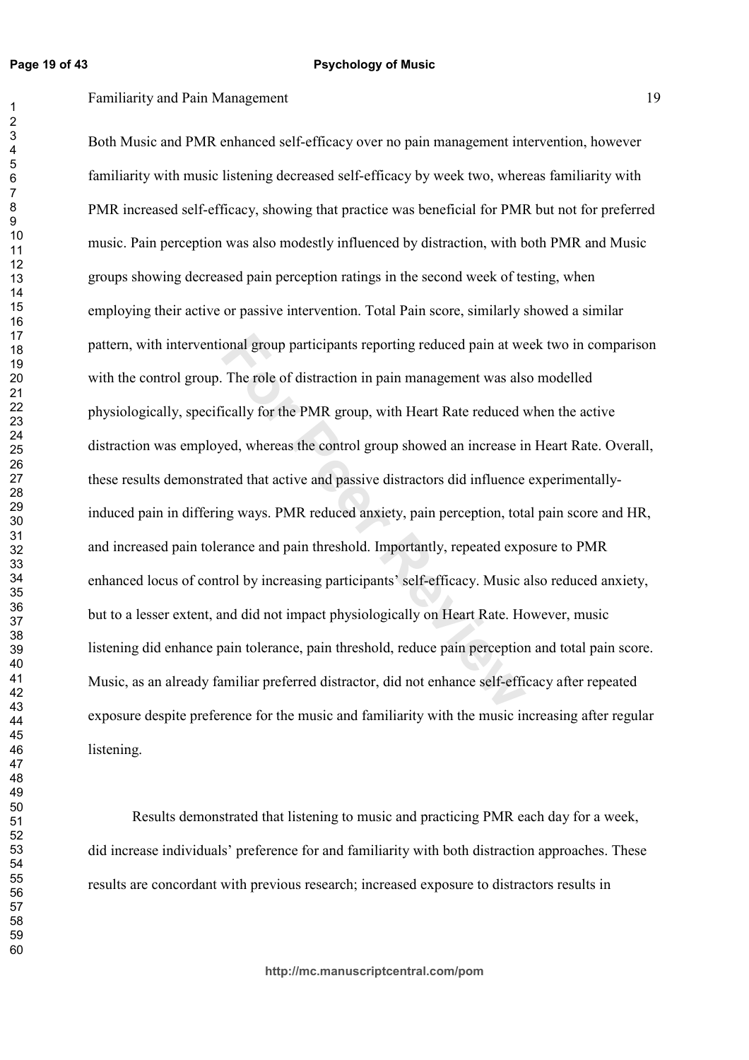$\mathbf{1}$ 

### **Psychology of Music**

Familiarity and Pain Management 19

onal group participants reporting reduced pain at we<br>The role of distraction in pain management was als<br>ically for the PMR group, with Heart Rate reduced v<br>ved, whereas the control group showed an increase in<br>ated that act Both Music and PMR enhanced self-efficacy over no pain management intervention, however familiarity with music listening decreased self-efficacy by week two, whereas familiarity with PMR increased self-efficacy, showing that practice was beneficial for PMR but not for preferred music. Pain perception was also modestly influenced by distraction, with both PMR and Music groups showing decreased pain perception ratings in the second week of testing, when employing their active or passive intervention. Total Pain score, similarly showed a similar pattern, with interventional group participants reporting reduced pain at week two in comparison with the control group. The role of distraction in pain management was also modelled physiologically, specifically for the PMR group, with Heart Rate reduced when the active distraction was employed, whereas the control group showed an increase in Heart Rate. Overall, these results demonstrated that active and passive distractors did influence experimentallyinduced pain in differing ways. PMR reduced anxiety, pain perception, total pain score and HR, and increased pain tolerance and pain threshold. Importantly, repeated exposure to PMR enhanced locus of control by increasing participants' self-efficacy. Music also reduced anxiety, but to a lesser extent, and did not impact physiologically on Heart Rate. However, music listening did enhance pain tolerance, pain threshold, reduce pain perception and total pain score. Music, as an already familiar preferred distractor, did not enhance self-efficacy after repeated exposure despite preference for the music and familiarity with the music increasing after regular listening.

Results demonstrated that listening to music and practicing PMR each day for a week, did increase individuals' preference for and familiarity with both distraction approaches. These results are concordant with previous research; increased exposure to distractors results in

**http://mc.manuscriptcentral.com/pom**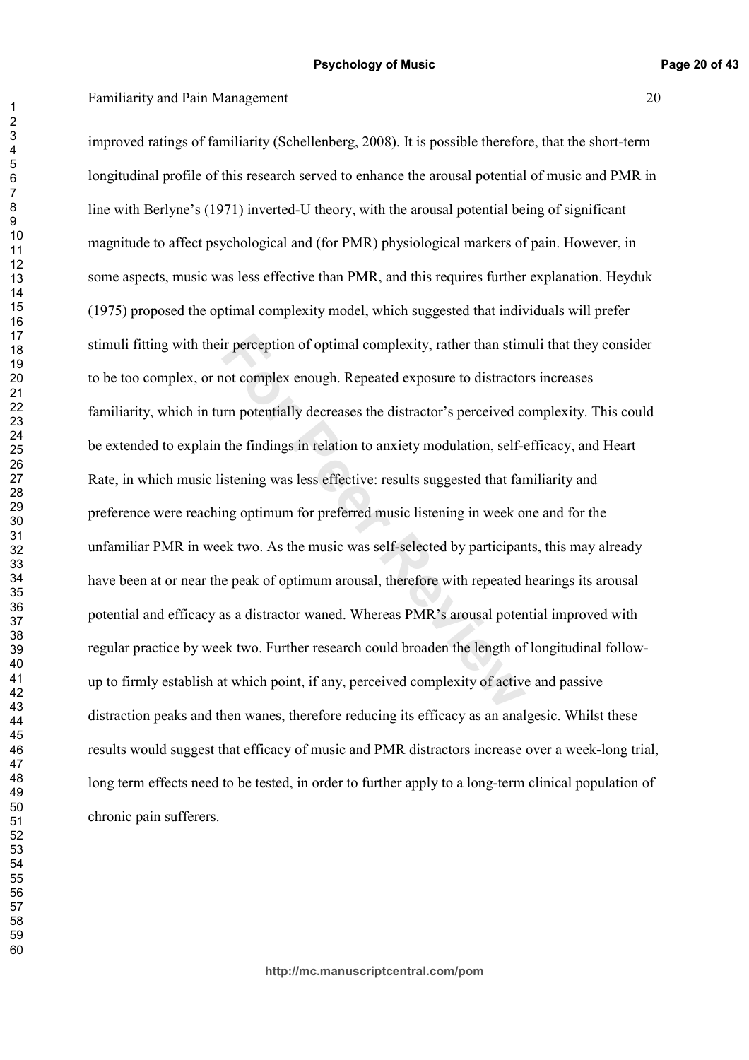ir perception of optimal complexity, rather than stim<br>not complex enough. Repeated exposure to distractor<br>nm potentially decreases the distractor's perceived co<br>the findings in relation to anxiety modulation, self-<br>istenin improved ratings of familiarity (Schellenberg, 2008). It is possible therefore, that the short-term longitudinal profile of this research served to enhance the arousal potential of music and PMR in line with Berlyne's (1971) inverted-U theory, with the arousal potential being of significant magnitude to affect psychological and (for PMR) physiological markers of pain. However, in some aspects, music was less effective than PMR, and this requires further explanation. Heyduk (1975) proposed the optimal complexity model, which suggested that individuals will prefer stimuli fitting with their perception of optimal complexity, rather than stimuli that they consider to be too complex, or not complex enough. Repeated exposure to distractors increases familiarity, which in turn potentially decreases the distractor's perceived complexity. This could be extended to explain the findings in relation to anxiety modulation, self-efficacy, and Heart Rate, in which music listening was less effective: results suggested that familiarity and preference were reaching optimum for preferred music listening in week one and for the unfamiliar PMR in week two. As the music was self-selected by participants, this may already have been at or near the peak of optimum arousal, therefore with repeated hearings its arousal potential and efficacy as a distractor waned. Whereas PMR's arousal potential improved with regular practice by week two. Further research could broaden the length of longitudinal followup to firmly establish at which point, if any, perceived complexity of active and passive distraction peaks and then wanes, therefore reducing its efficacy as an analgesic. Whilst these results would suggest that efficacy of music and PMR distractors increase over a week-long trial, long term effects need to be tested, in order to further apply to a long-term clinical population of chronic pain sufferers.

 $\overline{1}$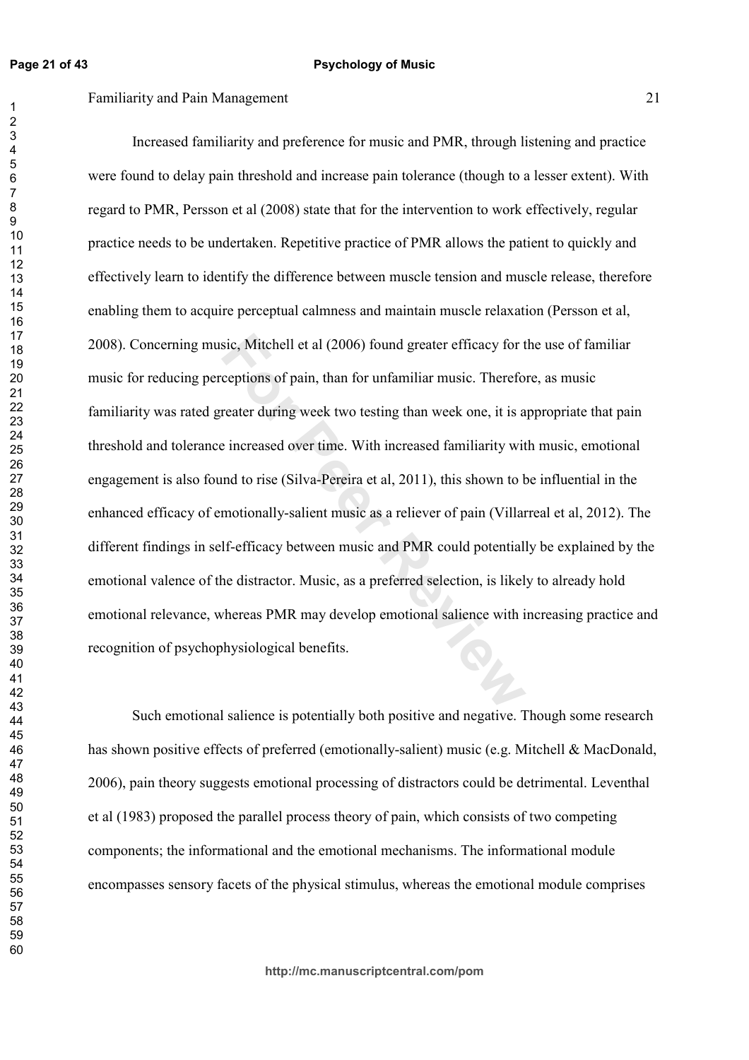### Familiarity and Pain Management 21

sic, Mitchell et al (2006) found greater efficacy for t<br>ceptions of pain, than for unfamiliar music. Therefo<br>reater during week two testing than week one, it is a<br>e increased over time. With increased familiarity wit<br>md to Increased familiarity and preference for music and PMR, through listening and practice were found to delay pain threshold and increase pain tolerance (though to a lesser extent). With regard to PMR, Persson et al (2008) state that for the intervention to work effectively, regular practice needs to be undertaken. Repetitive practice of PMR allows the patient to quickly and effectively learn to identify the difference between muscle tension and muscle release, therefore enabling them to acquire perceptual calmness and maintain muscle relaxation (Persson et al, 2008). Concerning music, Mitchell et al (2006) found greater efficacy for the use of familiar music for reducing perceptions of pain, than for unfamiliar music. Therefore, as music familiarity was rated greater during week two testing than week one, it is appropriate that pain threshold and tolerance increased over time. With increased familiarity with music, emotional engagement is also found to rise (Silva-Pereira et al, 2011), this shown to be influential in the enhanced efficacy of emotionally-salient music as a reliever of pain (Villarreal et al, 2012). The different findings in self-efficacy between music and PMR could potentially be explained by the emotional valence of the distractor. Music, as a preferred selection, is likely to already hold emotional relevance, whereas PMR may develop emotional salience with increasing practice and recognition of psychophysiological benefits.

Such emotional salience is potentially both positive and negative. Though some research has shown positive effects of preferred (emotionally-salient) music (e.g. Mitchell & MacDonald, 2006), pain theory suggests emotional processing of distractors could be detrimental. Leventhal et al (1983) proposed the parallel process theory of pain, which consists of two competing components; the informational and the emotional mechanisms. The informational module encompasses sensory facets of the physical stimulus, whereas the emotional module comprises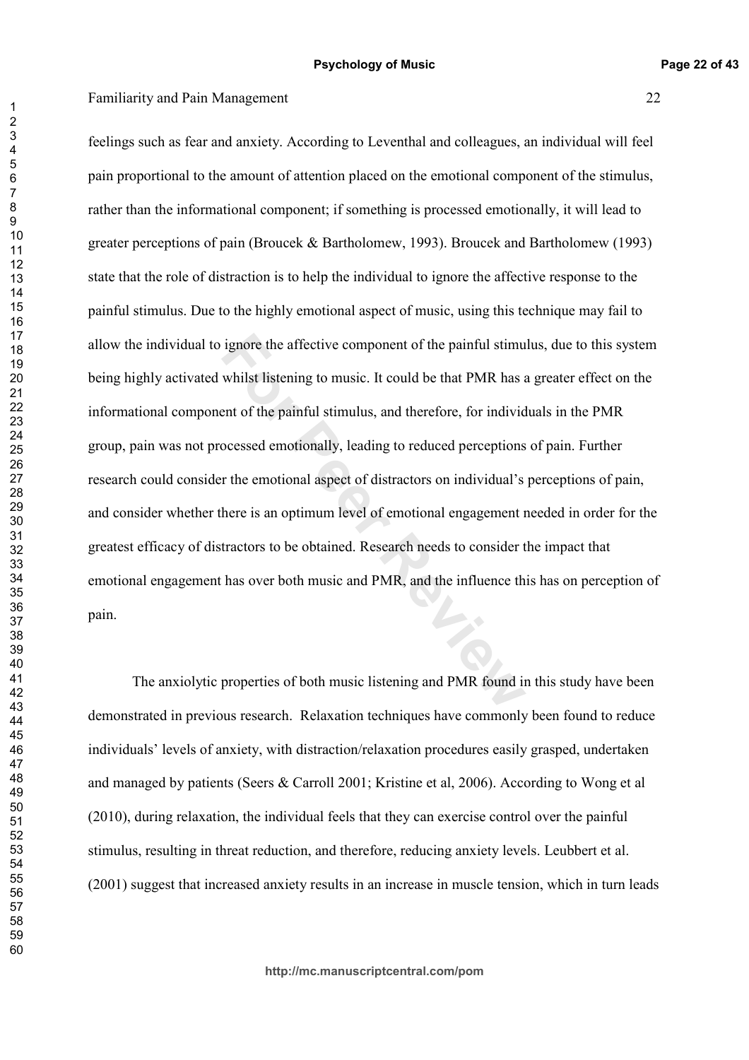ignore the affective component of the painful stimu<br>whilst listening to music. It could be that PMR has a<br>ent of the painful stimulus, and therefore, for individual<br>ocessed emotionally, leading to reduced perceptions<br>r the feelings such as fear and anxiety. According to Leventhal and colleagues, an individual will feel pain proportional to the amount of attention placed on the emotional component of the stimulus, rather than the informational component; if something is processed emotionally, it will lead to greater perceptions of pain (Broucek & Bartholomew, 1993). Broucek and Bartholomew (1993) state that the role of distraction is to help the individual to ignore the affective response to the painful stimulus. Due to the highly emotional aspect of music, using this technique may fail to allow the individual to ignore the affective component of the painful stimulus, due to this system being highly activated whilst listening to music. It could be that PMR has a greater effect on the informational component of the painful stimulus, and therefore, for individuals in the PMR group, pain was not processed emotionally, leading to reduced perceptions of pain. Further research could consider the emotional aspect of distractors on individual's perceptions of pain, and consider whether there is an optimum level of emotional engagement needed in order for the greatest efficacy of distractors to be obtained. Research needs to consider the impact that emotional engagement has over both music and PMR, and the influence this has on perception of pain.

The anxiolytic properties of both music listening and PMR found in this study have been demonstrated in previous research. Relaxation techniques have commonly been found to reduce individuals' levels of anxiety, with distraction/relaxation procedures easily grasped, undertaken and managed by patients (Seers  $\&$  Carroll 2001; Kristine et al, 2006). According to Wong et al  $(2010)$ , during relaxation, the individual feels that they can exercise control over the painful stimulus, resulting in threat reduction, and therefore, reducing anxiety levels. Leubbert et al. (2001) suggest that increased anxiety results in an increase in muscle tension, which in turn leads

 $\overline{1}$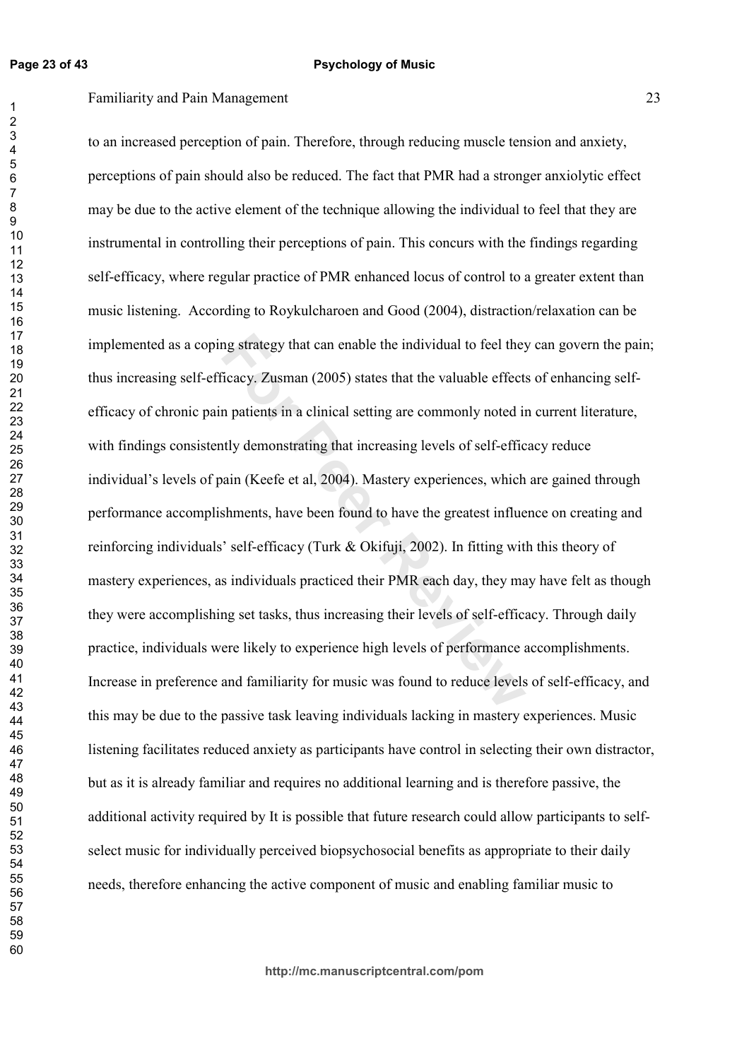Familiarity and Pain Management 23

mg strategy that can enable the individual to feel they<br>
Ficacy. Zusman (2005) states that the valuable effect:<br>
In patients in a clinical setting are commonly noted in<br>
Itly demonstrating that increasing levels of self-ef to an increased perception of pain. Therefore, through reducing muscle tension and anxiety, perceptions of pain should also be reduced. The fact that PMR had a stronger anxiolytic effect may be due to the active element of the technique allowing the individual to feel that they are instrumental in controlling their perceptions of pain. This concurs with the findings regarding self-efficacy, where regular practice of PMR enhanced locus of control to a greater extent than music listening. According to Roykulcharoen and Good (2004), distraction/relaxation can be implemented as a coping strategy that can enable the individual to feel they can govern the pain; thus increasing self-efficacy. Zusman (2005) states that the valuable effects of enhancing selfefficacy of chronic pain patients in a clinical setting are commonly noted in current literature, with findings consistently demonstrating that increasing levels of self-efficacy reduce individual's levels of pain (Keefe et al, 2004). Mastery experiences, which are gained through performance accomplishments, have been found to have the greatest influence on creating and reinforcing individuals' self-efficacy (Turk & Okifuji, 2002). In fitting with this theory of mastery experiences, as individuals practiced their PMR each day, they may have felt as though they were accomplishing set tasks, thus increasing their levels of self-efficacy. Through daily practice, individuals were likely to experience high levels of performance accomplishments. Increase in preference and familiarity for music was found to reduce levels of self-efficacy, and this may be due to the passive task leaving individuals lacking in mastery experiences. Music listening facilitates reduced anxiety as participants have control in selecting their own distractor, but as it is already familiar and requires no additional learning and is therefore passive, the additional activity required by It is possible that future research could allow participants to selfselect music for individually perceived biopsychosocial benefits as appropriate to their daily needs, therefore enhancing the active component of music and enabling familiar music to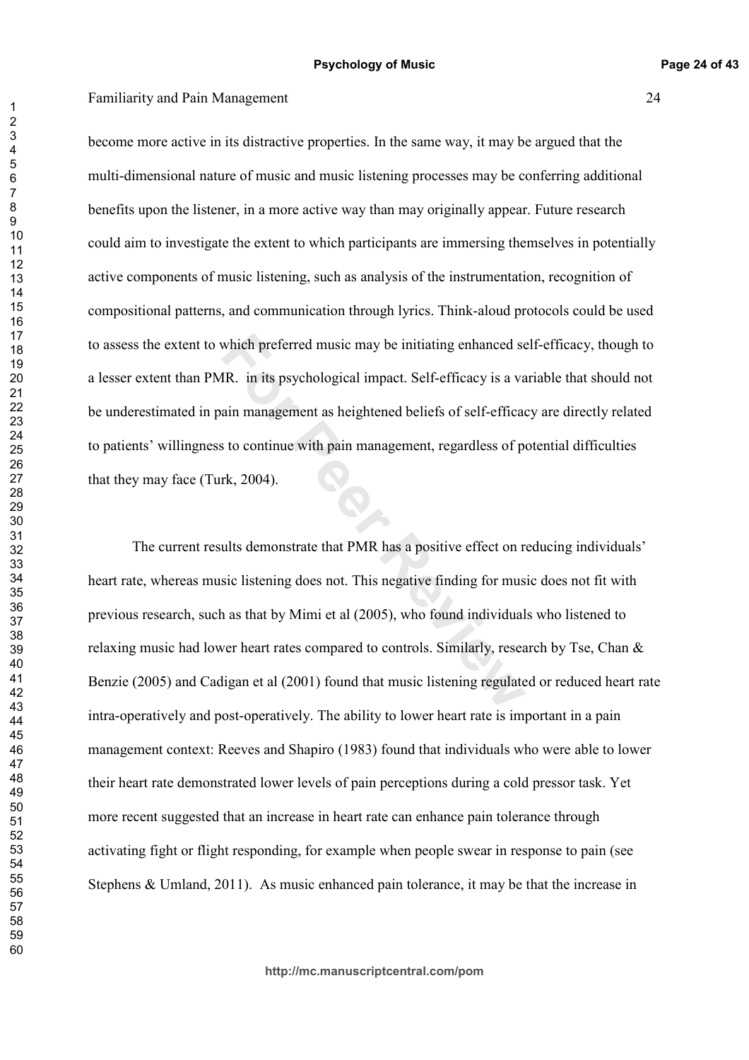become more active in its distractive properties. In the same way, it may be argued that the multi-dimensional nature of music and music listening processes may be conferring additional benefits upon the listener, in a more active way than may originally appear. Future research could aim to investigate the extent to which participants are immersing themselves in potentially active components of music listening, such as analysis of the instrumentation, recognition of compositional patterns, and communication through lyrics. Think-aloud protocols could be used to assess the extent to which preferred music may be initiating enhanced self-efficacy, though to a lesser extent than PMR. in its psychological impact. Self-efficacy is a variable that should not be underestimated in pain management as heightened beliefs of self-efficacy are directly related to patients' willingness to continue with pain management, regardless of potential difficulties that they may face (Turk, 2004).

which preferred music may be initiating enhanced se<br>
IR. in its psychological impact. Self-efficacy is a va<br>
ain management as heightened beliefs of self-efficac<br>
s to continue with pain management, regardless of p<br>
rk, 20 The current results demonstrate that PMR has a positive effect on reducing individuals' heart rate, whereas music listening does not. This negative finding for music does not fit with previous research, such as that by Mimi et al (2005), who found individuals who listened to relaxing music had lower heart rates compared to controls. Similarly, research by Tse, Chan  $\&$ Benzie (2005) and Cadigan et al (2001) found that music listening regulated or reduced heart rate intra-operatively and post-operatively. The ability to lower heart rate is important in a pain management context: Reeves and Shapiro (1983) found that individuals who were able to lower their heart rate demonstrated lower levels of pain perceptions during a cold pressor task. Yet more recent suggested that an increase in heart rate can enhance pain tolerance through activating fight or flight responding, for example when people swear in response to pain (see Stephens & Umland, 2011). As music enhanced pain tolerance, it may be that the increase in

**http://mc.manuscriptcentral.com/pom**

 $\overline{1}$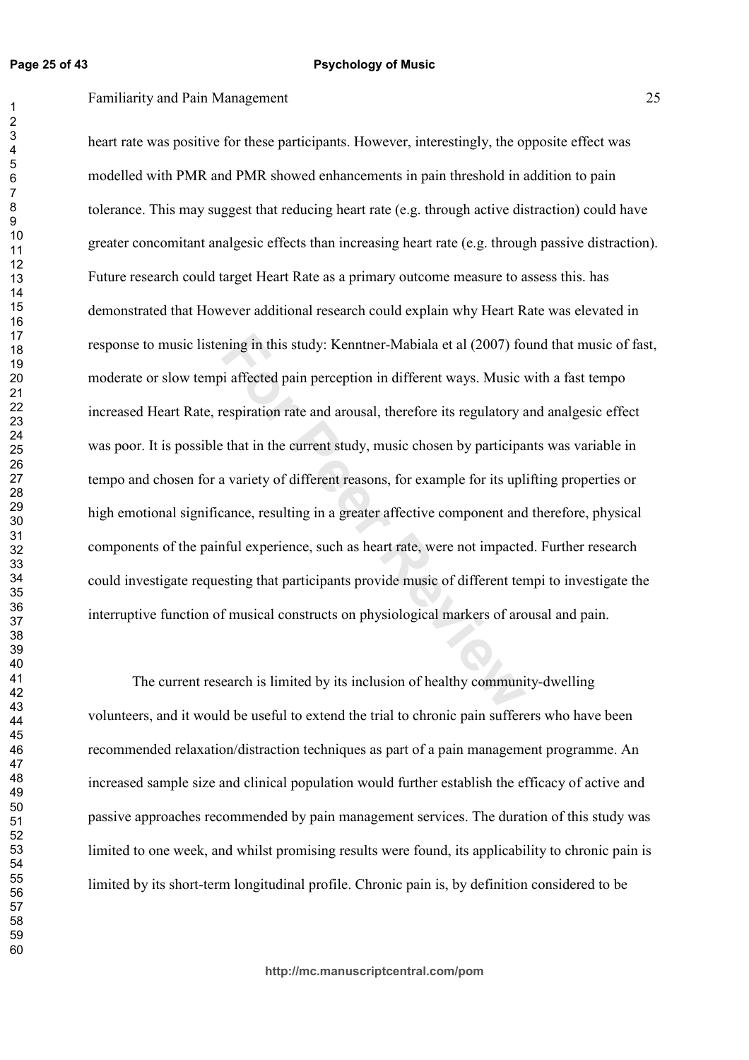ning in this study: Kenntner-Mabiala et al (2007) fo<br>i affected pain perception in different ways. Music verspiration rate and arousal, therefore its regulatory  $\varepsilon$ <br>that in the current study, music chosen by participa<br>a heart rate was positive for these participants. However, interestingly, the opposite effect was modelled with PMR and PMR showed enhancements in pain threshold in addition to pain tolerance. This may suggest that reducing heart rate (e.g. through active distraction) could have greater concomitant analgesic effects than increasing heart rate (e.g. through passive distraction). Future research could target Heart Rate as a primary outcome measure to assess this. has demonstrated that However additional research could explain why Heart Rate was elevated in response to music listening in this study: Kenntner-Mabiala et al (2007) found that music of fast, moderate or slow tempi affected pain perception in different ways. Music with a fast tempo increased Heart Rate, respiration rate and arousal, therefore its regulatory and analgesic effect was poor. It is possible that in the current study, music chosen by participants was variable in tempo and chosen for a variety of different reasons, for example for its uplifting properties or high emotional significance, resulting in a greater affective component and therefore, physical components of the painful experience, such as heart rate, were not impacted. Further research could investigate requesting that participants provide music of different tempi to investigate the interruptive function of musical constructs on physiological markers of arousal and pain.

The current research is limited by its inclusion of healthy community-dwelling volunteers, and it would be useful to extend the trial to chronic pain sufferers who have been recommended relaxation/distraction techniques as part of a pain management programme. An increased sample size and clinical population would further establish the efficacy of active and passive approaches recommended by pain management services. The duration of this study was limited to one week, and whilst promising results were found, its applicability to chronic pain is limited by its short-term longitudinal profile. Chronic pain is, by definition considered to be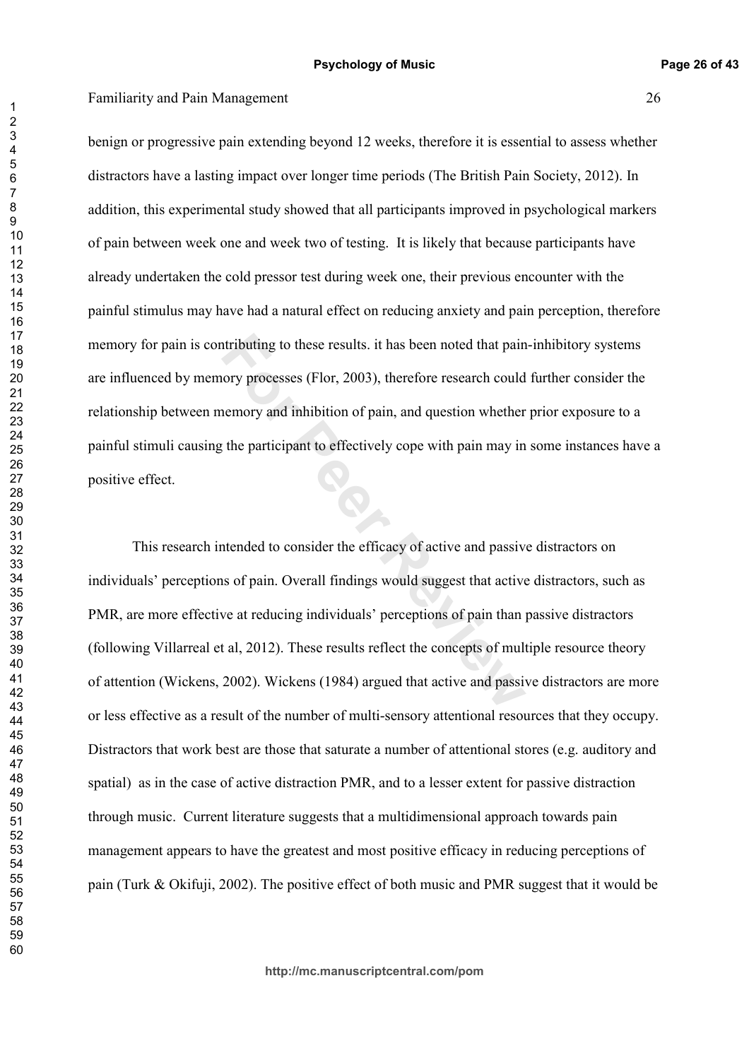benign or progressive pain extending beyond 12 weeks, therefore it is essential to assess whether distractors have a lasting impact over longer time periods (The British Pain Society, 2012). In addition, this experimental study showed that all participants improved in psychological markers of pain between week one and week two of testing. It is likely that because participants have already undertaken the cold pressor test during week one, their previous encounter with the painful stimulus may have had a natural effect on reducing anxiety and pain perception, therefore memory for pain is contributing to these results. it has been noted that pain-inhibitory systems are influenced by memory processes (Flor, 2003), therefore research could further consider the relationship between memory and inhibition of pain, and question whether prior exposure to a painful stimuli causing the participant to effectively cope with pain may in some instances have a positive effect.

Intributing to these results. it has been noted that pain<br>
nory processes (Flor, 2003), therefore research could<br>
nemory and inhibition of pain, and question whether<br>
the participant to effectively cope with pain may in<br>
t This research intended to consider the efficacy of active and passive distractors on individuals' perceptions of pain. Overall findings would suggest that active distractors, such as PMR, are more effective at reducing individuals' perceptions of pain than passive distractors (following Villarreal et al, 2012). These results reflect the concepts of multiple resource theory of attention (Wickens, 2002). Wickens (1984) argued that active and passive distractors are more or less effective as a result of the number of multi-sensory attentional resources that they occupy. Distractors that work best are those that saturate a number of attentional stores (e.g. auditory and spatial) as in the case of active distraction PMR, and to a lesser extent for passive distraction through music. Current literature suggests that a multidimensional approach towards pain management appears to have the greatest and most positive efficacy in reducing perceptions of pain (Turk & Okifuji, 2002). The positive effect of both music and PMR suggest that it would be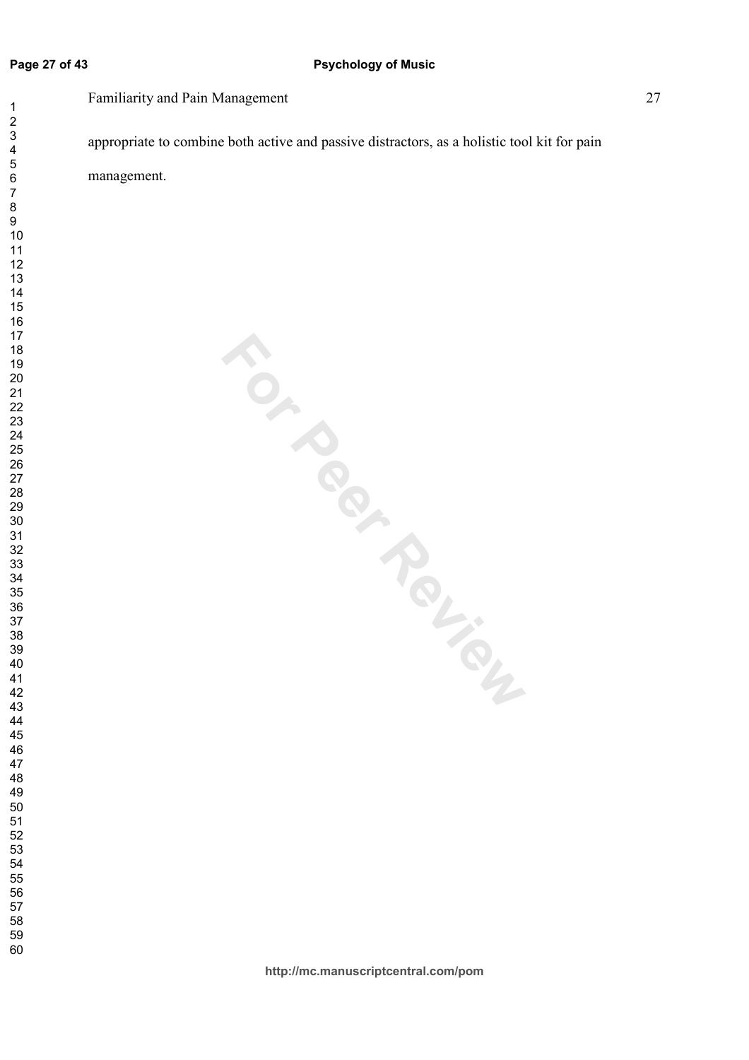### **Page 27 of 43**

### **Psychology of Music**

Familiarity and Pain Management 27

appropriate to combine both active and passive distractors, as a holistic tool kit for pain

management.

**For Peripar**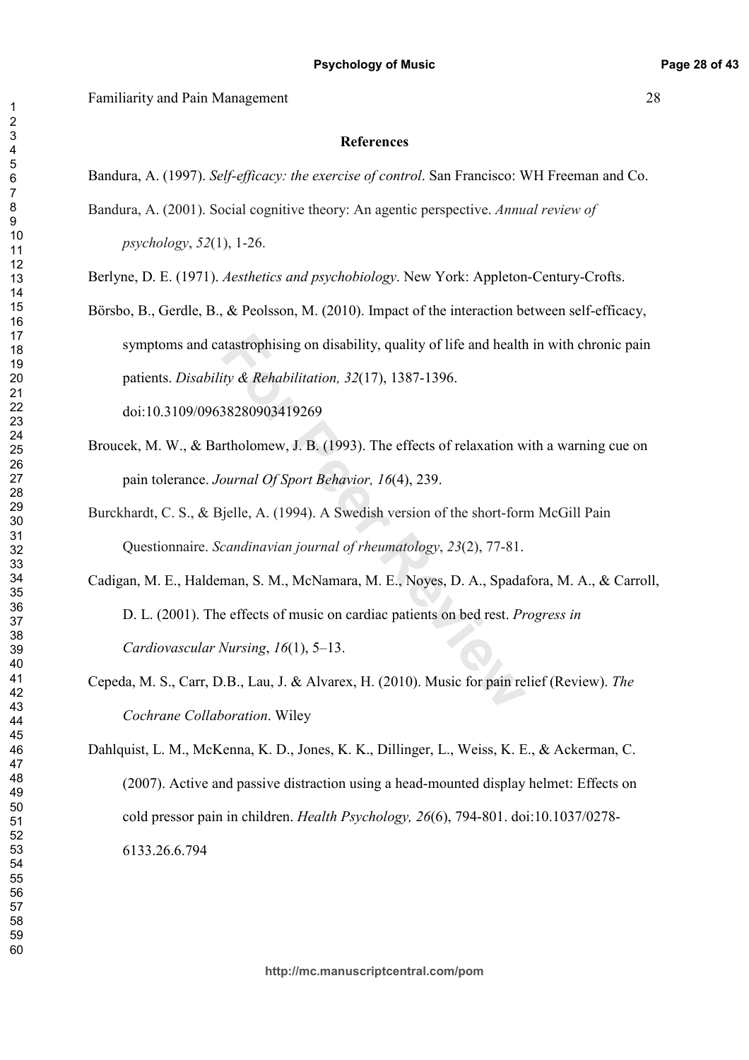### **References**

Bandura, A. (1997). Self-efficacy: the exercise of control. San Francisco: WH Freeman and Co.

Bandura, A. (2001). Social cognitive theory: An agentic perspective. Annual review of  $psychology, 52(1), 1-26.$ 

Berlyne, D. E. (1971). Aesthetics and psychobiology. New York: Appleton-Century-Crofts.

Börsbo, B., Gerdle, B., & Peolsson, M. (2010). Impact of the interaction between self-efficacy, symptoms and catastrophising on disability, quality of life and health in with chronic pain patients. Disability & Rehabilitation, 32(17), 1387-1396. doi:10.3109/09638280903419269

Broucek, M. W., & Bartholomew, J. B. (1993). The effects of relaxation with a warning cue on pain tolerance. Journal Of Sport Behavior, 16(4), 239.

Burckhardt, C. S., & Bjelle, A. (1994). A Swedish version of the short-form McGill Pain Questionnaire. Scandinavian journal of rheumatology, 23(2), 77-81.

- Cadigan, M. E., Haldeman, S. M., McNamara, M. E., Noyes, D. A., Spadafora, M. A., & Carroll, D. L. (2001). The effects of music on cardiac patients on bed rest. Progress in Cardiovascular Nursing,  $16(1)$ , 5-13.
- Cepeda, M. S., Carr, D.B., Lau, J. & Alvarex, H. (2010). Music for pain relief (Review). The Cochrane Collaboration. Wiley

Dahlquist, L. M., McKenna, K. D., Jones, K. K., Dillinger, L., Weiss, K. E., & Ackerman, C. (2007). Active and passive distraction using a head-mounted display helmet: Effects on cold pressor pain in children. Health Psychology, 26(6), 794-801. doi:10.1037/0278-6133.26.6.794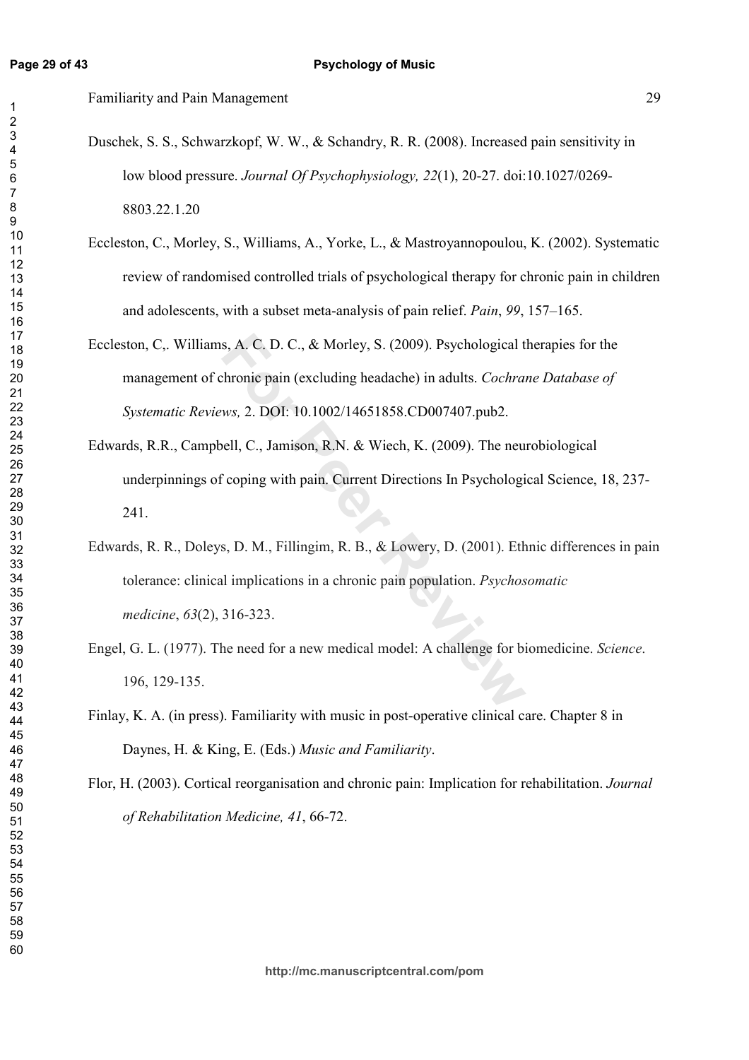- Duschek, S. S., Schwarzkopf, W. W., & Schandry, R. R. (2008). Increased pain sensitivity in low blood pressure. Journal Of Psychophysiology, 22(1), 20-27. doi:10.1027/0269-8803.22.1.20
- Eccleston, C., Morley, S., Williams, A., Yorke, L., & Mastroyannopoulou, K. (2002). Systematic review of randomised controlled trials of psychological therapy for chronic pain in children and adolescents, with a subset meta-analysis of pain relief. Pain, 99, 157–165.
- Eccleston, C., Williams, A. C. D. C., & Morley, S. (2009). Psychological therapies for the management of chronic pain (excluding headache) in adults. Cochrane Database of Systematic Reviews, 2. DOI: 10.1002/14651858.CD007407.pub2.
- Edwards, R.R., Campbell, C., Jamison, R.N. & Wiech, K. (2009). The neurobiological underpinnings of coping with pain. Current Directions In Psychological Science, 18, 237-241.
- Edwards, R. R., Doleys, D. M., Fillingim, R. B., & Lowery, D. (2001). Ethnic differences in pain tolerance: clinical implications in a chronic pain population. *Psychosomatic* medicine, 63(2), 316-323.
- Engel, G. L. (1977). The need for a new medical model: A challenge for biomedicine. Science. 196, 129-135.
- Finlay, K. A. (in press). Familiarity with music in post-operative clinical care. Chapter 8 in Daynes, H. & King, E. (Eds.) Music and Familiarity.
- Flor, H. (2003). Cortical reorganisation and chronic pain: Implication for rehabilitation. *Journal* of Rehabilitation Medicine, 41, 66-72.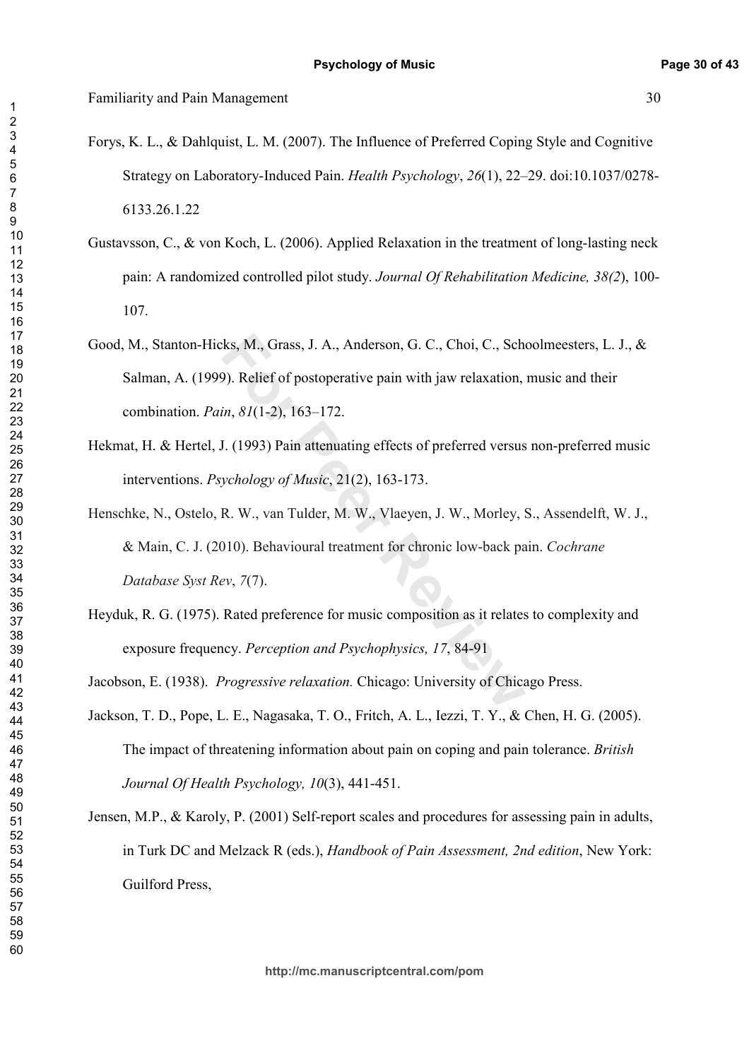- Forys, K. L., & Dahlquist, L. M. (2007). The Influence of Preferred Coping Style and Cognitive Strategy on Laboratory-Induced Pain. Health Psychology, 26(1), 22–29. doi:10.1037/0278-6133.26.1.22
- Gustavsson, C., & von Koch, L. (2006). Applied Relaxation in the treatment of long-lasting neck pain: A randomized controlled pilot study. Journal Of Rehabilitation Medicine, 38(2), 100-107.
- Good, M., Stanton-Hicks, M., Grass, J. A., Anderson, G. C., Choi, C., Schoolmeesters, L. J., & Salman, A. (1999). Relief of postoperative pain with jaw relaxation, music and their combination. Pain, 81(1-2), 163-172.
- Hekmat, H. & Hertel, J. (1993) Pain attenuating effects of preferred versus non-preferred music interventions. *Psychology of Music*, 21(2), 163-173.

Henschke, N., Ostelo, R. W., van Tulder, M. W., Vlaeyen, J. W., Morley, S., Assendelft, W. J., & Main, C. J. (2010). Behavioural treatment for chronic low-back pain. Cochrane Database Syst Rev, 7(7).

Heyduk, R. G. (1975). Rated preference for music composition as it relates to complexity and exposure frequency. Perception and Psychophysics, 17, 84-91

Jacobson, E. (1938). *Progressive relaxation*. Chicago: University of Chicago Press.

- Jackson, T. D., Pope, L. E., Nagasaka, T. O., Fritch, A. L., Iezzi, T. Y., & Chen, H. G. (2005). The impact of threatening information about pain on coping and pain tolerance. British Journal Of Health Psychology, 10(3), 441-451.
- Jensen, M.P., & Karoly, P. (2001) Self-report scales and procedures for assessing pain in adults, in Turk DC and Melzack R (eds.). *Handbook of Pain Assessment. 2nd edition*. New York: Guilford Press,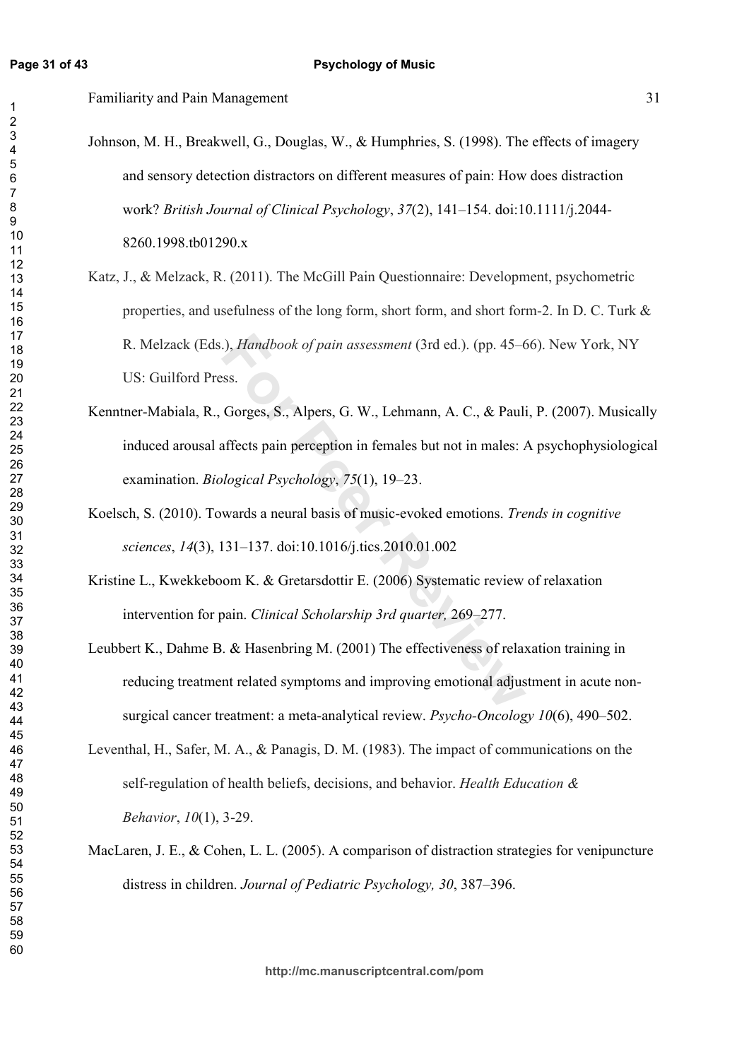### Familiarity and Pain Management 31

- Johnson, M. H., Breakwell, G., Douglas, W., & Humphries, S. (1998). The effects of imagery and sensory detection distractors on different measures of pain: How does distraction work? British Journal of Clinical Psychology, 37(2), 141-154. doi:10.1111/j.2044-8260.1998.tb01290.x
- Katz, J., & Melzack, R. (2011). The McGill Pain Questionnaire: Development, psychometric properties, and usefulness of the long form, short form, and short form-2. In D. C. Turk  $\&$ R. Melzack (Eds.), *Handbook of pain assessment* (3rd ed.). (pp. 45–66). New York, NY US: Guilford Press.
- 9.), *Handbook of pain assessment* (3rd ed.). (pp. 45–6<br>
Sess.<br>
Forges, S., Alpers, G. W., Lehmann, A. C., & Pauli<br>
affects pain perception in females but not in males: *Alogical Psychology*, 75(1), 19–23.<br>
wards a neural Kenntner-Mabiala, R., Gorges, S., Alpers, G. W., Lehmann, A. C., & Pauli, P. (2007). Musically induced arousal affects pain perception in females but not in males: A psychophysiological examination. *Biological Psychology*, 75(1), 19–23.
- Koelsch, S. (2010). Towards a neural basis of music-evoked emotions. Trends in cognitive *sciences, 14*(3), 131–137. doi:10.1016/j.tics.2010.01.002
- Kristine L., Kwekkeboom K. & Gretarsdottir E. (2006) Systematic review of relaxation intervention for pain. *Clinical Scholarship 3rd quarter*, 269–277.
- Leubbert K., Dahme B. & Hasenbring M. (2001) The effectiveness of relaxation training in reducing treatment related symptoms and improving emotional adjustment in acute nonsurgical cancer treatment: a meta-analytical review. Psycho-Oncology 10(6), 490–502.
- Leventhal, H., Safer, M. A., & Panagis, D. M.  $(1983)$ . The impact of communications on the self-regulation of health beliefs, decisions, and behavior. *Health Education & Behavior*, 10(1), 3-29.
- MacLaren, J. E., & Cohen, L. L. (2005). A comparison of distraction strategies for venipuncture distress in children. Journal of Pediatric Psychology, 30, 387-396.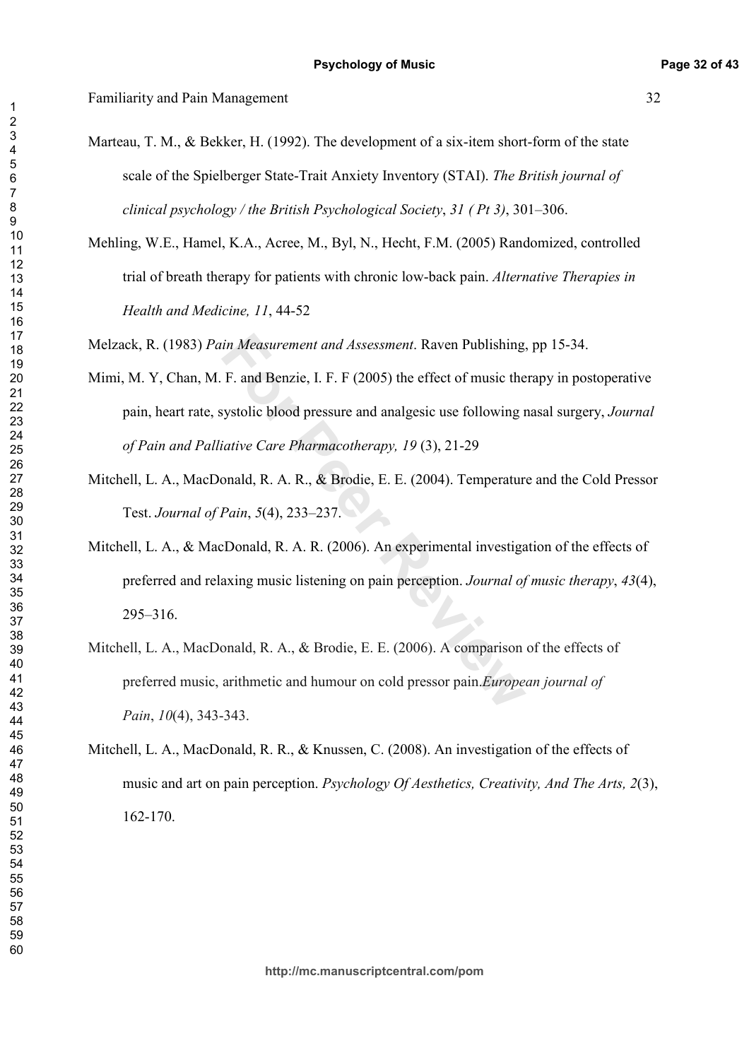Marteau, T. M., & Bekker, H. (1992). The development of a six-item short-form of the state scale of the Spielberger State-Trait Anxiety Inventory (STAI). The British journal of clinical psychology / the British Psychological Society, 31 (Pt 3), 301–306.

Mehling, W.E., Hamel, K.A., Acree, M., Byl, N., Hecht, F.M. (2005) Randomized, controlled trial of breath therapy for patients with chronic low-back pain. Alternative Therapies in *Health and Medicine, 11, 44-52* 

Melzack, R. (1983) Pain Measurement and Assessment. Raven Publishing, pp 15-34.

- Mimi, M. Y, Chan, M. F. and Benzie, I. F. F (2005) the effect of music therapy in postoperative pain, heart rate, systolic blood pressure and analgesic use following nasal surgery, Journal of Pain and Palliative Care Pharmacotherapy, 19 (3), 21-29
- Mitchell, L. A., MacDonald, R. A. R., & Brodie, E. E. (2004). Temperature and the Cold Pressor *Test. Journal of Pain, 5(4), 233-237.*
- in Measurement and Assessment. Raven Publishing.<br>
F. and Benzie, I. F. F (2005) the effect of music the<br>
systolic blood pressure and analgesic use following r<br>
iative Care Pharmacotherapy, 19 (3), 21-29<br>
onald, R. A. R., & Mitchell, L. A., & MacDonald, R. A. R. (2006). An experimental investigation of the effects of preferred and relaxing music listening on pain perception. Journal of music therapy, 43(4),  $295 - 316$ .
- Mitchell, L. A., MacDonald, R. A., & Brodie, E. E. (2006). A comparison of the effects of preferred music, arithmetic and humour on cold pressor pain. European journal of *Pain, 10*(4), 343-343.
- Mitchell, L. A., MacDonald, R. R., & Knussen, C. (2008). An investigation of the effects of music and art on pain perception. Psychology Of Aesthetics, Creativity, And The Arts, 2(3), 162-170.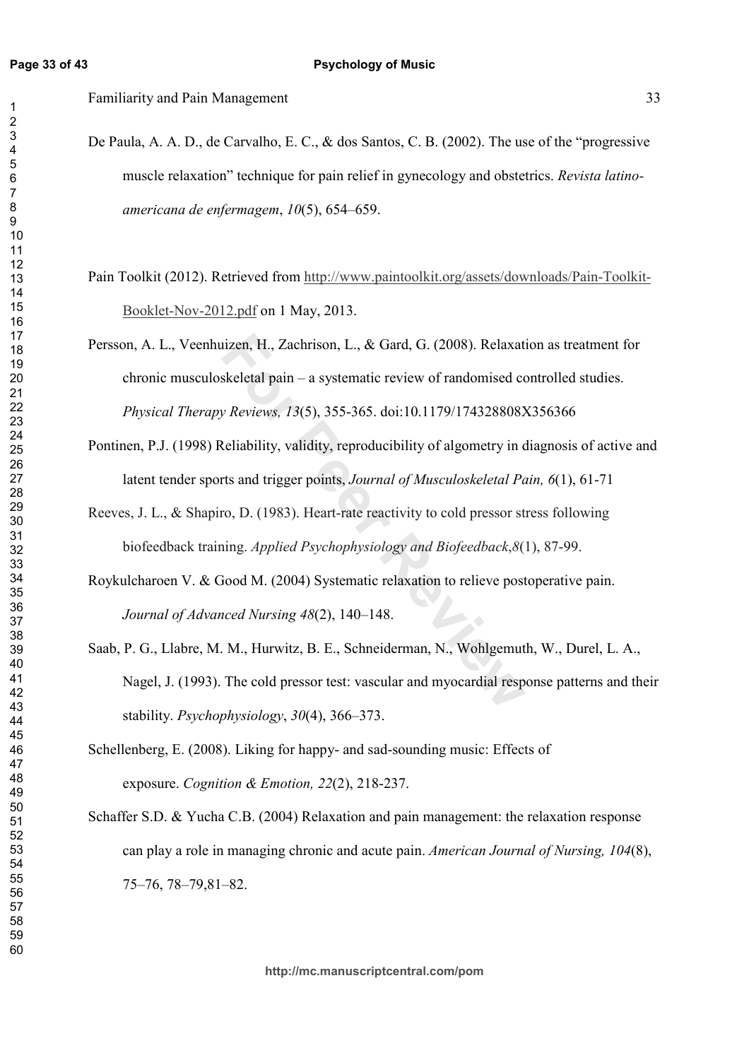De Paula, A. A. D., de Carvalho, E. C.,  $\&$  dos Santos, C. B. (2002). The use of the "progressive" muscle relaxation" technique for pain relief in gynecology and obstetrics. Revista latinoamericana de enfermagem, 10(5), 654–659.

Pain Toolkit (2012). Retrieved from http://www.paintoolkit.org/assets/downloads/Pain-Toolkit-Booklet-Nov-2012.pdf on 1 May, 2013.

iizen, H., Zachrison, L., & Gard, G. (2008). Relaxat<br>skeletal pain – a systematic review of randomised consider the pain – a systematic review of randomised consider<br>Reviews, 13(5), 355-365. doi:10.1179/1743288082<br>Reliabil Persson, A. L., Veenhuizen, H., Zachrison, L., & Gard, G. (2008). Relaxation as treatment for chronic musculoskeletal pain – a systematic review of randomised controlled studies. *Physical Therapy Reviews, 13*(5), 355-365. doi:10.1179/174328808X356366

Pontinen, P.J. (1998) Reliability, validity, reproducibility of algometry in diagnosis of active and latent tender sports and trigger points, Journal of Musculoskeletal Pain, 6(1), 61-71

Reeves, J. L.,  $\&$  Shapiro, D. (1983). Heart-rate reactivity to cold pressor stress following biofeedback training. *Applied Psychophysiology and Biofeedback*, 8(1), 87-99.

Roykulcharoen V. & Good M. (2004) Systematic relaxation to relieve postoperative pain. *Journal of Advanced Nursing 48*(2), 140–148.

- Saab, P. G., Llabre, M. M., Hurwitz, B. E., Schneiderman, N., Wohlgemuth, W., Durel, L. A., Nagel, J. (1993). The cold pressor test: vascular and myocardial response patterns and their stability. *Psychophysiology*, 30(4), 366–373.
- Schellenberg, E. (2008). Liking for happy- and sad-sounding music: Effects of exposure. *Cognition & Emotion*, 22(2), 218-237.
- Schaffer S.D.  $&$  Yucha C.B. (2004) Relaxation and pain management: the relaxation response can play a role in managing chronic and acute pain. American Journal of Nursing, 104(8),  $75 - 76$ ,  $78 - 79$ ,  $81 - 82$ .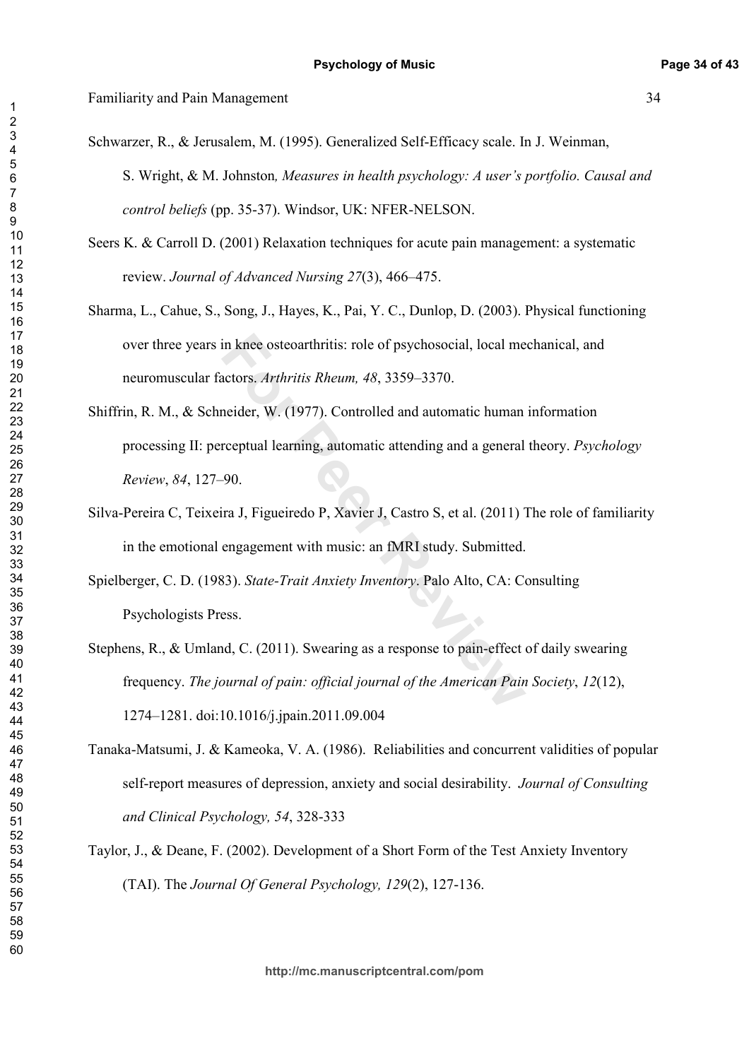Schwarzer, R., & Jerusalem, M. (1995). Generalized Self-Efficacy scale. In J. Weinman, S. Wright, & M. Johnston, Measures in health psychology: A user's portfolio. Causal and control beliefs (pp. 35-37). Windsor, UK: NFER-NELSON.

Seers K. & Carroll D.  $(2001)$  Relaxation techniques for acute pain management: a systematic review. Journal of Advanced Nursing 27(3), 466–475.

Sharma, L., Cahue, S., Song, J., Hayes, K., Pai, Y. C., Dunlop, D. (2003). Physical functioning over three years in knee osteoarthritis: role of psychosocial, local mechanical, and neuromuscular factors. Arthritis Rheum, 48, 3359–3370.

- in knee osteoarthritis: role of psychosocial, local me<br>actors. Arthritis Rheum, 48, 3359–3370.<br>neider, W. (1977). Controlled and automatic human<br>rceptual learning, automatic attending and a general<br>90.<br>ira J, Figueiredo P, Shiffrin, R. M., & Schneider, W. (1977). Controlled and automatic human information processing II: perceptual learning, automatic attending and a general theory. Psychology *Review, 84, 127-90.*
- Silva-Pereira C, Teixeira J, Figueiredo P, Xavier J, Castro S, et al. (2011) The role of familiarity in the emotional engagement with music: an fMRI study. Submitted.

Spielberger, C. D. (1983). State-Trait Anxiety Inventory. Palo Alto, CA: Consulting Psychologists Press.

- Stephens, R., & Umland, C. (2011). Swearing as a response to pain-effect of daily swearing frequency. The journal of pain: official journal of the American Pain Society, 12(12), 1274–1281. doi:10.1016/j.jpain.2011.09.004
- Tanaka-Matsumi, J. & Kameoka, V. A. (1986). Reliabilities and concurrent validities of popular self-report measures of depression, anxiety and social desirability. *Journal of Consulting* and Clinical Psychology, 54, 328-333
- Taylor, J., & Deane, F.  $(2002)$ . Development of a Short Form of the Test Anxiety Inventory (TAI). The Journal Of General Psychology, 129(2), 127-136.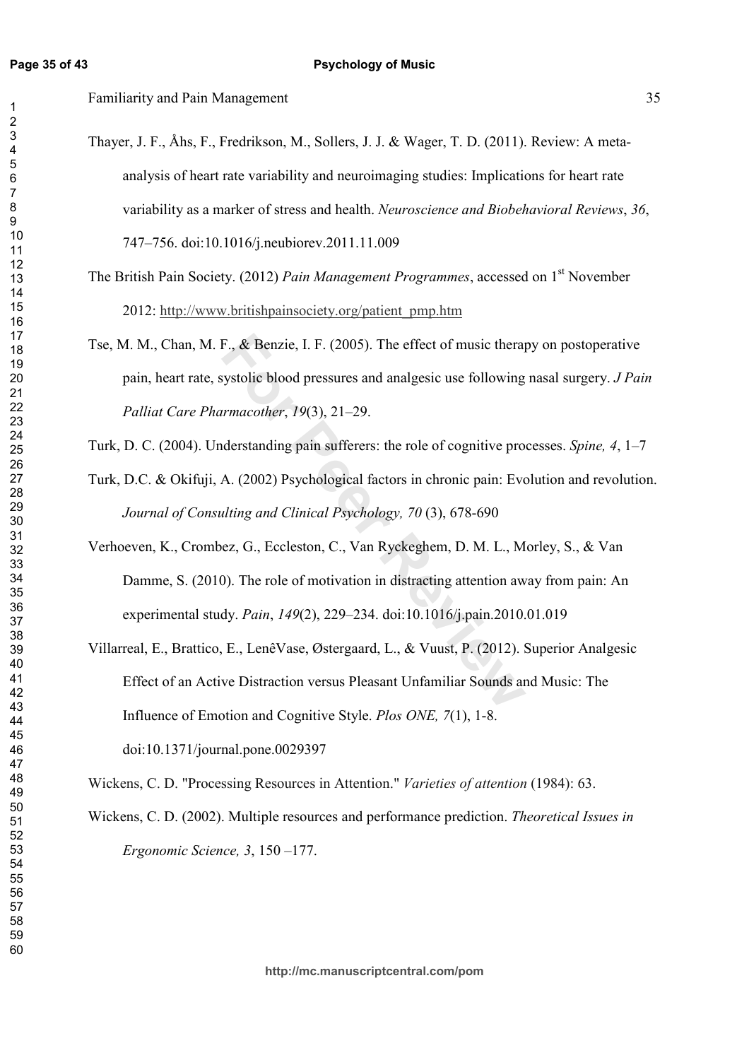$\overline{1}$  $\overline{2}$ 

 $\overline{\mathbf{4}}$ 

 $\,6$  $\overline{7}$ 

Familiarity and Pain Management

- Thayer, J. F., Åhs, F., Fredrikson, M., Sollers, J. J. & Wager, T. D. (2011). Review: A metaanalysis of heart rate variability and neuroimaging studies: Implications for heart rate variability as a marker of stress and health. Neuroscience and Biobehavioral Reviews, 36, 747–756. doi:10.1016/j.neubiorev.2011.11.009
- The British Pain Society. (2012) Pain Management Programmes, accessed on 1<sup>st</sup> November 2012: http://www.britishpainsociety.org/patient\_pmp.htm
- Tse, M. M., Chan, M. F., & Benzie, I. F. (2005). The effect of music therapy on postoperative pain, heart rate, systolic blood pressures and analgesic use following nasal surgery. *J Pain* Palliat Care Pharmacother, 19(3), 21-29.
- Turk, D. C. (2004). Understanding pain sufferers: the role of cognitive processes. Spine, 4, 1–7
- Turk, D.C. & Okifuji, A. (2002) Psychological factors in chronic pain: Evolution and revolution. Journal of Consulting and Clinical Psychology, 70 (3), 678-690
- Verhoeven, K., Crombez, G., Eccleston, C., Van Ryckeghem, D. M. L., Morley, S., & Van Damme, S. (2010). The role of motivation in distracting attention away from pain: An experimental study. Pain. 149(2). 229–234. doi:10.1016/i.pain.2010.01.019
- Villarreal, E., Brattico, E., LenêVase, Østergaard, L., & Vuust, P. (2012). Superior Analgesic Effect of an Active Distraction versus Pleasant Unfamiliar Sounds and Music: The Influence of Emotion and Cognitive Style. *Plos ONE*, 7(1), 1-8. doi:10.1371/journal.pone.0029397

Wickens, C. D. "Processing Resources in Attention." Varieties of attention (1984): 63.

Wickens, C. D. (2002). Multiple resources and performance prediction. Theoretical Issues in Ergonomic Science,  $3, 150 - 177$ .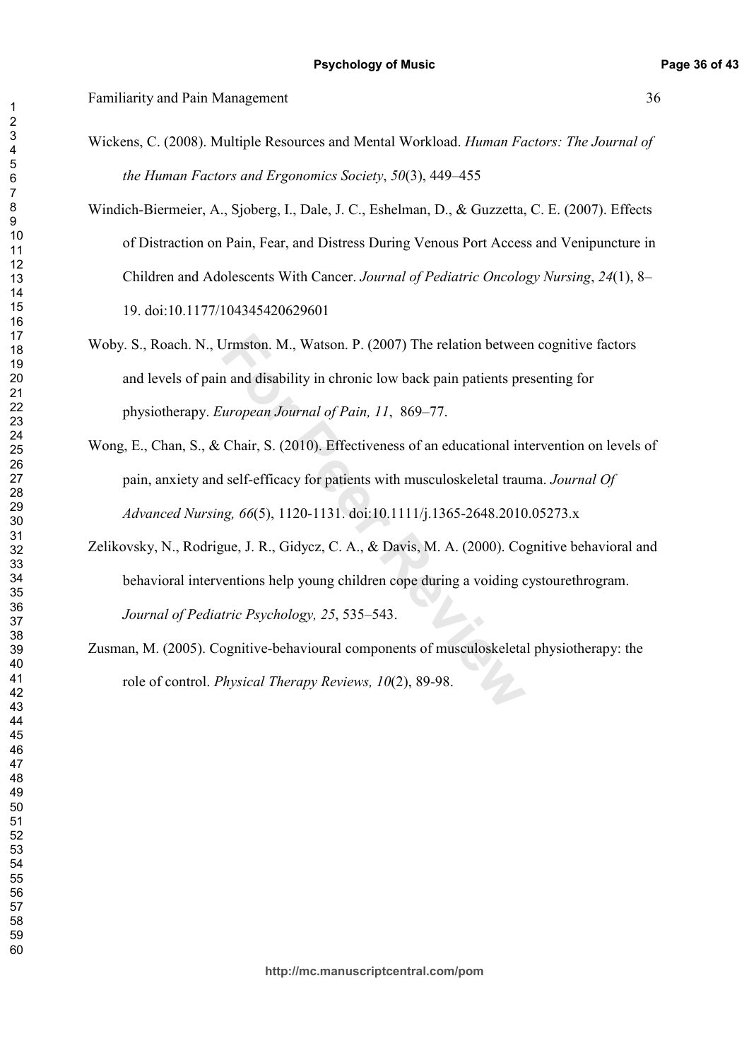$\overline{1}$ 

## Familiarity and Pain Management 36

- Wickens, C. (2008). Multiple Resources and Mental Workload. Human Factors: The Journal of *the Human Factors and Ergonomics Society, 50(3), 449–455*
- Windich-Biermeier, A., Sjoberg, I., Dale, J. C., Eshelman, D., & Guzzetta, C. E. (2007). Effects of Distraction on Pain, Fear, and Distress During Venous Port Access and Venipuncture in Children and Adolescents With Cancer. Journal of Pediatric Oncology Nursing, 24(1), 8– 19. doi:10.1177/104345420629601
- Woby. S., Roach. N., Urmston. M., Watson. P. (2007) The relation between cognitive factors and levels of pain and disability in chronic low back pain patients presenting for physiotherapy. *European Journal of Pain, 11, 869–77.*
- Wong, E., Chan, S., & Chair, S. (2010). Effectiveness of an educational intervention on levels of pain, anxiety and self-efficacy for patients with musculoskeletal trauma. Journal Of *Advanced Nursing, 66(5), 1120-1131. doi:10.1111/j.1365-2648.2010.05273.x*
- Jrmston. M., Watson. P. (2007) The relation betwee<br>n and disability in chronic low back pain patients pre<br>*uropean Journal of Pain, 11*, 869–77.<br>Chair, S. (2010). Effectiveness of an educational int<br>l self-efficacy for pat Zelikovsky, N., Rodrigue, J. R., Gidycz, C. A., & Davis, M. A. (2000). Cognitive behavioral and behavioral interventions help young children cope during a voiding cystourethrogram. *Journal of Pediatric Psychology, 25, 535–543.*
- Zusman, M. (2005). Cognitive-behavioural components of musculoskeletal physiotherapy: the role of control. *Physical Therapy Reviews, 10*(2), 89-98.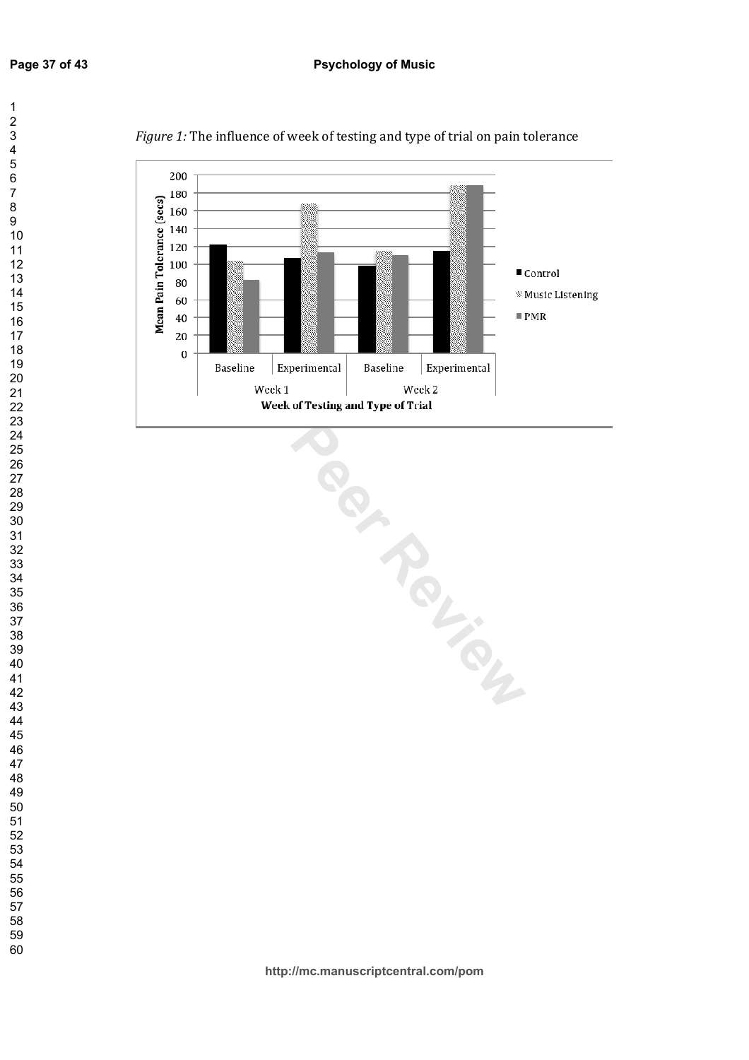

*Figure 1:* The influence of week of testing and type of trial on pain tolerance

 $\mathbf{1}$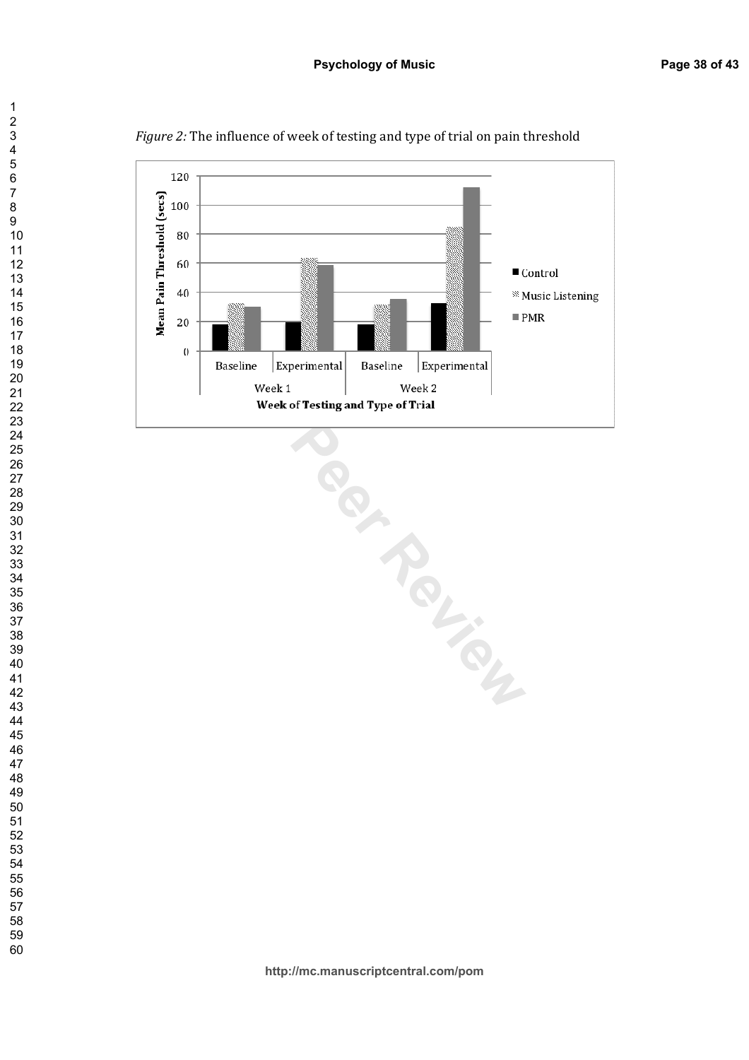

Figure 2: The influence of week of testing and type of trial on pain threshold

Baseline Experimental Baseline Experimental Week 2<br>Week of Testing and Type of Trial<br>Week of Testing and Type of Trial

 $\overline{7}$ 

 $\mathbf{1}$  $\overline{2}$  $\overline{\mathbf{4}}$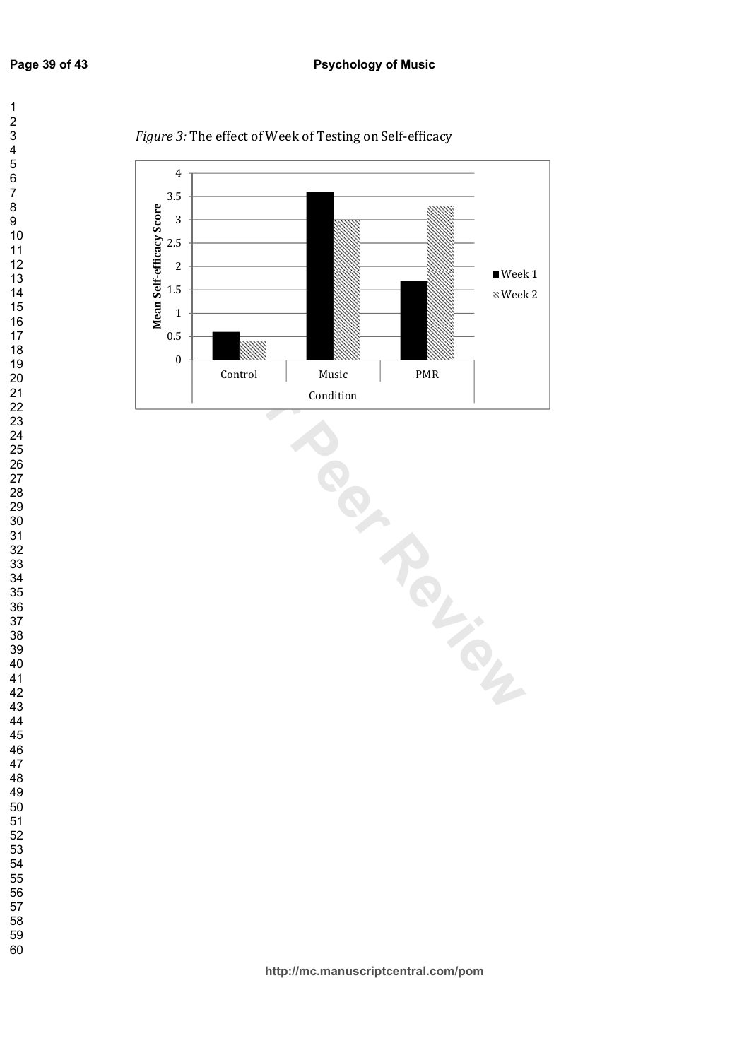$\mathbf{1}$  $\overline{2}$  $\overline{\mathbf{4}}$  $\overline{7}$ 



Figure 3: The effect of Week of Testing on Self-efficacy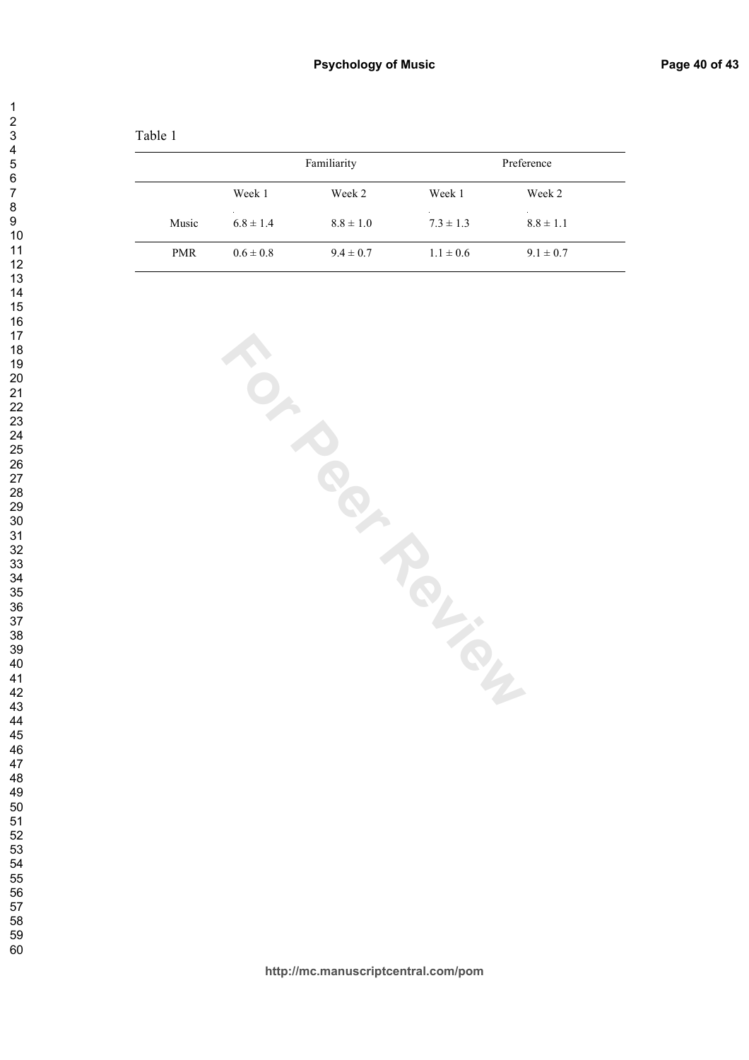| anie |  |
|------|--|
|      |  |

|            |               | Familiarity   |               | Preference    |  |
|------------|---------------|---------------|---------------|---------------|--|
|            | Week 1        | Week 2        | Week 1        | Week 2        |  |
| Music      | $6.8 \pm 1.4$ | $8.8 \pm 1.0$ | $7.3 \pm 1.3$ | $8.8 \pm 1.1$ |  |
| <b>PMR</b> | $0.6 \pm 0.8$ | $9.4 \pm 0.7$ | $1.1 \pm 0.6$ | $9.1 \pm 0.7$ |  |

**For Peridiciles** 

 $\mathbf{1}$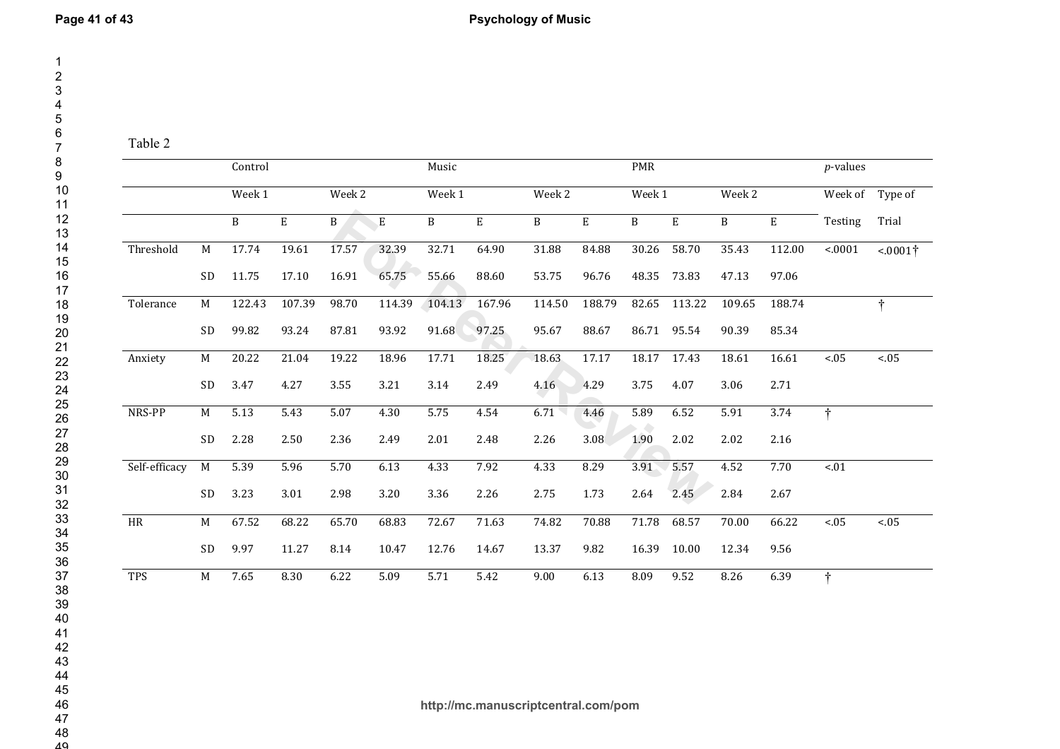Table 2

|               |    | Control |             |              |             | Music  |           |        |             | <b>PMR</b> |             |              |        | $p$ -values     |                 |
|---------------|----|---------|-------------|--------------|-------------|--------|-----------|--------|-------------|------------|-------------|--------------|--------|-----------------|-----------------|
|               |    | Week 1  |             | Week 2       |             | Week 1 |           | Week 2 |             | Week 1     |             | Week 2       |        | Week of Type of |                 |
|               |    | B       | $\mathbf E$ | $\, {\bf B}$ | $\mathbf E$ | B      | ${\bf E}$ | B      | $\mathbf E$ | B          | $\mathbf E$ | $\, {\bf B}$ | E      | Testing         | Trial           |
| Threshold     | M  | 17.74   | 19.61       | 17.57        | 32.39       | 32.71  | 64.90     | 31.88  | 84.88       | 30.26      | 58.70       | 35.43        | 112.00 | < .0001         | $< 0001\dagger$ |
|               | SD | 11.75   | 17.10       | 16.91        | 65.75       | 55.66  | 88.60     | 53.75  | 96.76       | 48.35      | 73.83       | 47.13        | 97.06  |                 |                 |
| Tolerance     | M  | 122.43  | 107.39      | 98.70        | 114.39      | 104.13 | 167.96    | 114.50 | 188.79      | 82.65      | 113.22      | 109.65       | 188.74 |                 | $\dagger$       |
|               | SD | 99.82   | 93.24       | 87.81        | 93.92       | 91.68  | 97.25     | 95.67  | 88.67       | 86.71      | 95.54       | 90.39        | 85.34  |                 |                 |
| Anxiety       | M  | 20.22   | 21.04       | 19.22        | 18.96       | 17.71  | 18.25     | 18.63  | 17.17       | 18.17      | 17.43       | 18.61        | 16.61  | $<0.5$          | $<0.5$          |
|               | SD | 3.47    | 4.27        | 3.55         | 3.21        | 3.14   | 2.49      | 4.16   | 4.29        | 3.75       | 4.07        | 3.06         | 2.71   |                 |                 |
| NRS-PP        | M  | 5.13    | 5.43        | 5.07         | 4.30        | 5.75   | 4.54      | 6.71   | 4.46        | 5.89       | 6.52        | 5.91         | 3.74   | $\dagger$       |                 |
|               | SD | 2.28    | 2.50        | 2.36         | 2.49        | 2.01   | 2.48      | 2.26   | 3.08        | 1.90       | 2.02        | 2.02         | 2.16   |                 |                 |
| Self-efficacy | M  | 5.39    | 5.96        | 5.70         | 6.13        | 4.33   | 7.92      | 4.33   | 8.29        | 3.91       | 5.57        | 4.52         | 7.70   | $< 01$          |                 |
|               | SD | 3.23    | 3.01        | 2.98         | 3.20        | 3.36   | 2.26      | 2.75   | 1.73        | 2.64       | 2.45        | 2.84         | 2.67   |                 |                 |
| $\rm{HR}$     | M  | 67.52   | 68.22       | 65.70        | 68.83       | 72.67  | 71.63     | 74.82  | 70.88       | 71.78      | 68.57       | 70.00        | 66.22  | $<0.5$          | $<0.5$          |
|               | SD | 9.97    | 11.27       | 8.14         | 10.47       | 12.76  | 14.67     | 13.37  | 9.82        | 16.39      | 10.00       | 12.34        | 9.56   |                 |                 |
| <b>TPS</b>    | M  | 7.65    | 8.30        | 6.22         | 5.09        | 5.71   | 5.42      | 9.00   | 6.13        | 8.09       | 9.52        | 8.26         | 6.39   | $\ddagger$      |                 |

42<br>43<br>44<br>45<br>46<br>47<br>48

 $\overline{40}$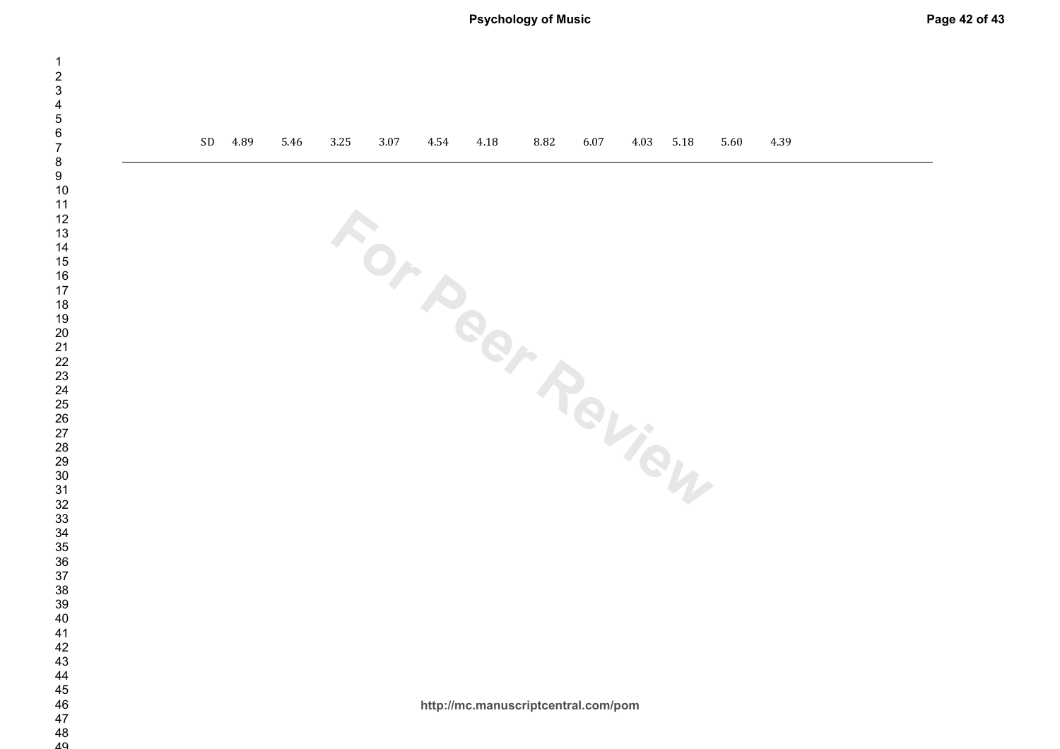| SD<br>4.89<br>5.46<br>$3.25\,$<br>3.07<br>4.54<br>4.18<br>8.82<br>5.18<br>4.39<br>6.07<br>4.03<br>5.60<br>For Pear Review<br>http://mc.manuscriptcentral.com/pom | <b>PSYCHOLOGY OF MUSIC</b> |  |  |  |  |  |  |
|------------------------------------------------------------------------------------------------------------------------------------------------------------------|----------------------------|--|--|--|--|--|--|
|                                                                                                                                                                  |                            |  |  |  |  |  |  |
|                                                                                                                                                                  |                            |  |  |  |  |  |  |
|                                                                                                                                                                  |                            |  |  |  |  |  |  |
|                                                                                                                                                                  |                            |  |  |  |  |  |  |
|                                                                                                                                                                  |                            |  |  |  |  |  |  |
|                                                                                                                                                                  |                            |  |  |  |  |  |  |
|                                                                                                                                                                  |                            |  |  |  |  |  |  |
|                                                                                                                                                                  |                            |  |  |  |  |  |  |
|                                                                                                                                                                  |                            |  |  |  |  |  |  |
|                                                                                                                                                                  |                            |  |  |  |  |  |  |
|                                                                                                                                                                  |                            |  |  |  |  |  |  |
|                                                                                                                                                                  |                            |  |  |  |  |  |  |
|                                                                                                                                                                  |                            |  |  |  |  |  |  |
|                                                                                                                                                                  |                            |  |  |  |  |  |  |
|                                                                                                                                                                  |                            |  |  |  |  |  |  |
|                                                                                                                                                                  |                            |  |  |  |  |  |  |
|                                                                                                                                                                  |                            |  |  |  |  |  |  |
|                                                                                                                                                                  |                            |  |  |  |  |  |  |
|                                                                                                                                                                  |                            |  |  |  |  |  |  |
|                                                                                                                                                                  |                            |  |  |  |  |  |  |
|                                                                                                                                                                  |                            |  |  |  |  |  |  |
|                                                                                                                                                                  |                            |  |  |  |  |  |  |
|                                                                                                                                                                  |                            |  |  |  |  |  |  |
|                                                                                                                                                                  |                            |  |  |  |  |  |  |
|                                                                                                                                                                  |                            |  |  |  |  |  |  |
|                                                                                                                                                                  |                            |  |  |  |  |  |  |
|                                                                                                                                                                  |                            |  |  |  |  |  |  |
|                                                                                                                                                                  |                            |  |  |  |  |  |  |
|                                                                                                                                                                  |                            |  |  |  |  |  |  |
|                                                                                                                                                                  |                            |  |  |  |  |  |  |
|                                                                                                                                                                  |                            |  |  |  |  |  |  |
|                                                                                                                                                                  |                            |  |  |  |  |  |  |